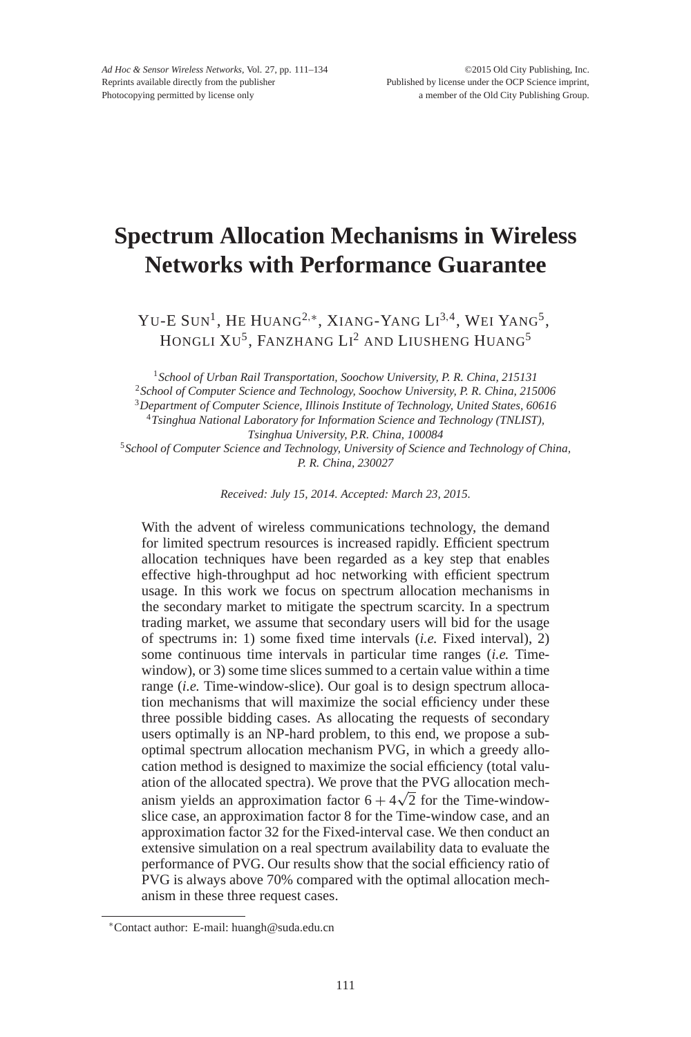# **Spectrum Allocation Mechanisms in Wireless Networks with Performance Guarantee**

Yu-E Sun<sup>1</sup>, He Huang<sup>2,∗</sup>, Xiang-Yang Li<sup>3,4</sup>, Wei Yang<sup>5</sup>, HONGLI  $\rm{Xu^5,}$  Fanzhang  $\rm{Li^2}$  and  $\rm{L}$ iusheng Huang $^5$ 

*School of Urban Rail Transportation, Soochow University, P. R. China, 215131 School of Computer Science and Technology, Soochow University, P. R. China, 215006 Department of Computer Science, Illinois Institute of Technology, United States, 60616 Tsinghua National Laboratory for Information Science and Technology (TNLIST), Tsinghua University, P.R. China, 100084*

<sup>5</sup>*School of Computer Science and Technology, University of Science and Technology of China, P. R. China, 230027*

*Received: July 15, 2014. Accepted: March 23, 2015.*

With the advent of wireless communications technology, the demand for limited spectrum resources is increased rapidly. Efficient spectrum allocation techniques have been regarded as a key step that enables effective high-throughput ad hoc networking with efficient spectrum usage. In this work we focus on spectrum allocation mechanisms in the secondary market to mitigate the spectrum scarcity. In a spectrum trading market, we assume that secondary users will bid for the usage of spectrums in: 1) some fixed time intervals (*i.e.* Fixed interval), 2) some continuous time intervals in particular time ranges (*i.e.* Timewindow), or 3) some time slices summed to a certain value within a time range (*i.e.* Time-window-slice). Our goal is to design spectrum allocation mechanisms that will maximize the social efficiency under these three possible bidding cases. As allocating the requests of secondary users optimally is an NP-hard problem, to this end, we propose a suboptimal spectrum allocation mechanism PVG, in which a greedy allocation method is designed to maximize the social efficiency (total valuation of the allocated spectra). We prove that the PVG allocation mechation of the anocated spectra). We prove that the PVG anocation mechanism yields an approximation factor  $6 + 4\sqrt{2}$  for the Time-windowslice case, an approximation factor 8 for the Time-window case, and an approximation factor 32 for the Fixed-interval case. We then conduct an extensive simulation on a real spectrum availability data to evaluate the performance of PVG. Our results show that the social efficiency ratio of PVG is always above 70% compared with the optimal allocation mechanism in these three request cases.

<sup>∗</sup>Contact author: E-mail: huangh@suda.edu.cn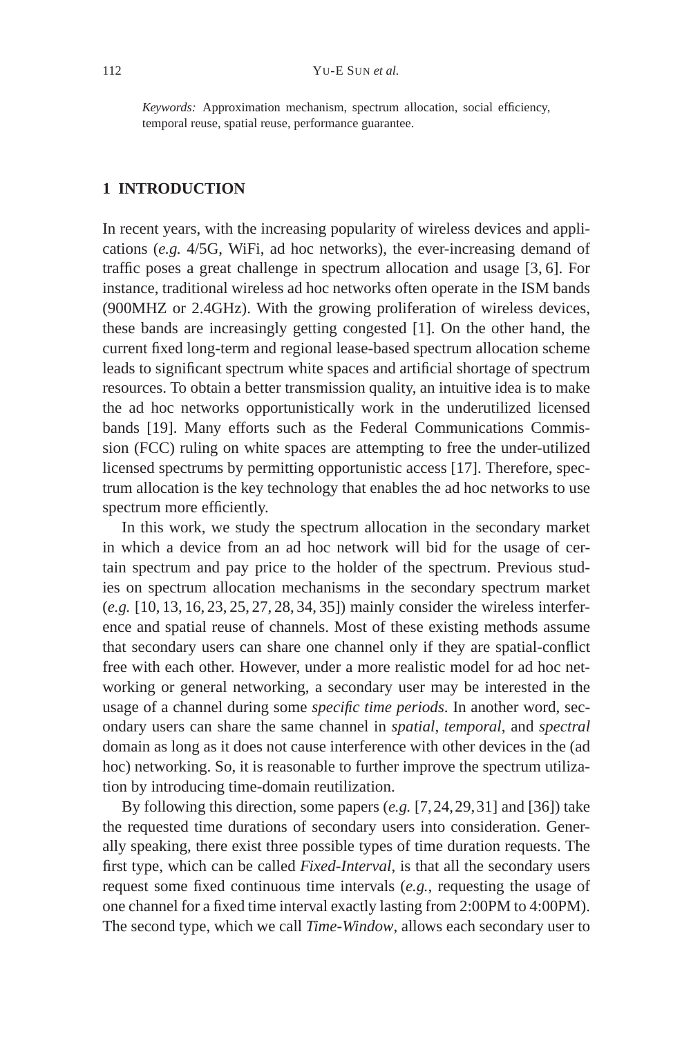*Keywords:* Approximation mechanism, spectrum allocation, social efficiency, temporal reuse, spatial reuse, performance guarantee.

# **1 INTRODUCTION**

In recent years, with the increasing popularity of wireless devices and applications (*e.g.* 4/5G, WiFi, ad hoc networks), the ever-increasing demand of traffic poses a great challenge in spectrum allocation and usage [3, 6]. For instance, traditional wireless ad hoc networks often operate in the ISM bands (900MHZ or 2.4GHz). With the growing proliferation of wireless devices, these bands are increasingly getting congested [1]. On the other hand, the current fixed long-term and regional lease-based spectrum allocation scheme leads to significant spectrum white spaces and artificial shortage of spectrum resources. To obtain a better transmission quality, an intuitive idea is to make the ad hoc networks opportunistically work in the underutilized licensed bands [19]. Many efforts such as the Federal Communications Commission (FCC) ruling on white spaces are attempting to free the under-utilized licensed spectrums by permitting opportunistic access [17]. Therefore, spectrum allocation is the key technology that enables the ad hoc networks to use spectrum more efficiently.

In this work, we study the spectrum allocation in the secondary market in which a device from an ad hoc network will bid for the usage of certain spectrum and pay price to the holder of the spectrum. Previous studies on spectrum allocation mechanisms in the secondary spectrum market (*e.g.* [10, 13, 16, 23, 25, 27, 28, 34, 35]) mainly consider the wireless interference and spatial reuse of channels. Most of these existing methods assume that secondary users can share one channel only if they are spatial-conflict free with each other. However, under a more realistic model for ad hoc networking or general networking, a secondary user may be interested in the usage of a channel during some *specific time periods*. In another word, secondary users can share the same channel in *spatial*, *temporal*, and *spectral* domain as long as it does not cause interference with other devices in the (ad hoc) networking. So, it is reasonable to further improve the spectrum utilization by introducing time-domain reutilization.

By following this direction, some papers (*e.g.* [7,24,29,31] and [36]) take the requested time durations of secondary users into consideration. Generally speaking, there exist three possible types of time duration requests. The first type, which can be called *Fixed-Interval*, is that all the secondary users request some fixed continuous time intervals (*e.g.*, requesting the usage of one channel for a fixed time interval exactly lasting from 2:00PM to 4:00PM). The second type, which we call *Time-Window*, allows each secondary user to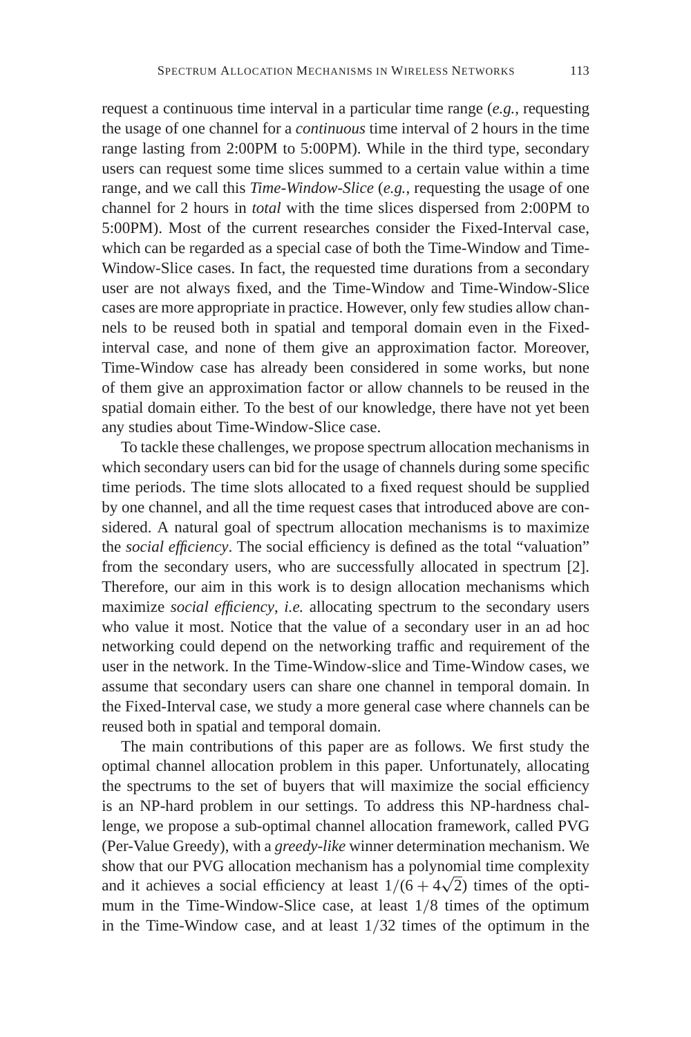request a continuous time interval in a particular time range (*e.g.*, requesting the usage of one channel for a *continuous* time interval of 2 hours in the time range lasting from 2:00PM to 5:00PM). While in the third type, secondary users can request some time slices summed to a certain value within a time range, and we call this *Time-Window-Slice* (*e.g.*, requesting the usage of one channel for 2 hours in *total* with the time slices dispersed from 2:00PM to 5:00PM). Most of the current researches consider the Fixed-Interval case, which can be regarded as a special case of both the Time-Window and Time-Window-Slice cases. In fact, the requested time durations from a secondary user are not always fixed, and the Time-Window and Time-Window-Slice cases are more appropriate in practice. However, only few studies allow channels to be reused both in spatial and temporal domain even in the Fixedinterval case, and none of them give an approximation factor. Moreover, Time-Window case has already been considered in some works, but none of them give an approximation factor or allow channels to be reused in the spatial domain either. To the best of our knowledge, there have not yet been any studies about Time-Window-Slice case.

To tackle these challenges, we propose spectrum allocation mechanisms in which secondary users can bid for the usage of channels during some specific time periods. The time slots allocated to a fixed request should be supplied by one channel, and all the time request cases that introduced above are considered. A natural goal of spectrum allocation mechanisms is to maximize the *social efficiency*. The social efficiency is defined as the total "valuation" from the secondary users, who are successfully allocated in spectrum [2]. Therefore, our aim in this work is to design allocation mechanisms which maximize *social efficiency*, *i.e.* allocating spectrum to the secondary users who value it most. Notice that the value of a secondary user in an ad hoc networking could depend on the networking traffic and requirement of the user in the network. In the Time-Window-slice and Time-Window cases, we assume that secondary users can share one channel in temporal domain. In the Fixed-Interval case, we study a more general case where channels can be reused both in spatial and temporal domain.

The main contributions of this paper are as follows. We first study the optimal channel allocation problem in this paper. Unfortunately, allocating the spectrums to the set of buyers that will maximize the social efficiency is an NP-hard problem in our settings. To address this NP-hardness challenge, we propose a sub-optimal channel allocation framework, called PVG (Per-Value Greedy), with a *greedy-like* winner determination mechanism. We show that our PVG allocation mechanism has a polynomial time complexity show that our PVG allocation mechanism has a polynomial time complexity and it achieves a social efficiency at least  $1/(6 + 4\sqrt{2})$  times of the optimum in the Time-Window-Slice case, at least 1/8 times of the optimum in the Time-Window case, and at least 1/32 times of the optimum in the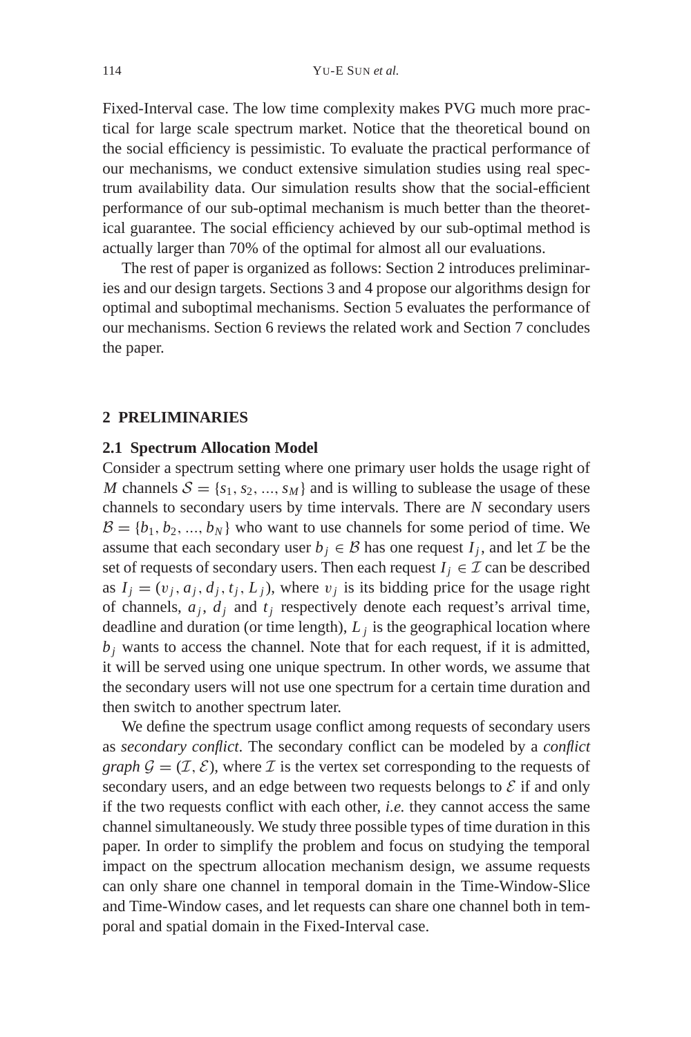Fixed-Interval case. The low time complexity makes PVG much more practical for large scale spectrum market. Notice that the theoretical bound on the social efficiency is pessimistic. To evaluate the practical performance of our mechanisms, we conduct extensive simulation studies using real spectrum availability data. Our simulation results show that the social-efficient performance of our sub-optimal mechanism is much better than the theoretical guarantee. The social efficiency achieved by our sub-optimal method is actually larger than 70% of the optimal for almost all our evaluations.

The rest of paper is organized as follows: Section 2 introduces preliminaries and our design targets. Sections 3 and 4 propose our algorithms design for optimal and suboptimal mechanisms. Section 5 evaluates the performance of our mechanisms. Section 6 reviews the related work and Section 7 concludes the paper.

## **2 PRELIMINARIES**

### **2.1 Spectrum Allocation Model**

Consider a spectrum setting where one primary user holds the usage right of *M* channels  $S = \{s_1, s_2, ..., s_M\}$  and is willing to sublease the usage of these channels to secondary users by time intervals. There are *N* secondary users  $\mathcal{B} = \{b_1, b_2, ..., b_N\}$  who want to use channels for some period of time. We assume that each secondary user  $b_i \in \mathcal{B}$  has one request  $I_i$ , and let  $\mathcal{I}$  be the set of requests of secondary users. Then each request  $I_i \in \mathcal{I}$  can be described as  $I_i = (v_i, a_i, d_i, t_i, L_i)$ , where  $v_i$  is its bidding price for the usage right of channels,  $a_i$ ,  $d_j$  and  $t_j$  respectively denote each request's arrival time, deadline and duration (or time length),  $L_i$  is the geographical location where  $b_i$  wants to access the channel. Note that for each request, if it is admitted, it will be served using one unique spectrum. In other words, we assume that the secondary users will not use one spectrum for a certain time duration and then switch to another spectrum later.

We define the spectrum usage conflict among requests of secondary users as *secondary conflict*. The secondary conflict can be modeled by a *conflict graph*  $\mathcal{G} = (\mathcal{I}, \mathcal{E})$ , where  $\mathcal{I}$  is the vertex set corresponding to the requests of secondary users, and an edge between two requests belongs to  $\mathcal E$  if and only if the two requests conflict with each other, *i.e.* they cannot access the same channel simultaneously. We study three possible types of time duration in this paper. In order to simplify the problem and focus on studying the temporal impact on the spectrum allocation mechanism design, we assume requests can only share one channel in temporal domain in the Time-Window-Slice and Time-Window cases, and let requests can share one channel both in temporal and spatial domain in the Fixed-Interval case.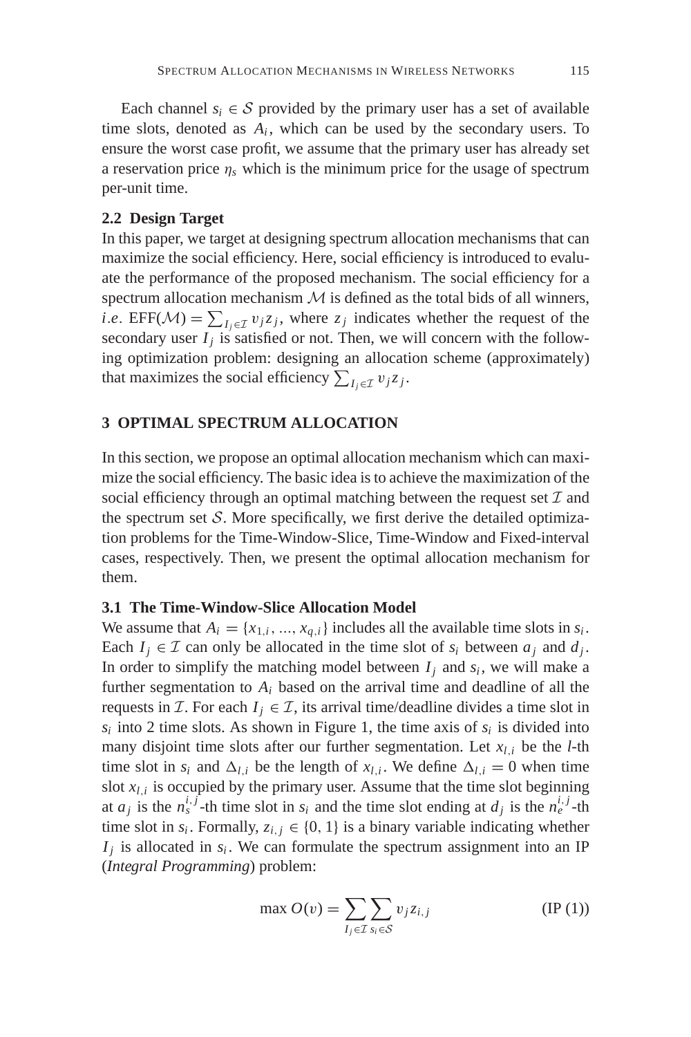Each channel  $s_i \in S$  provided by the primary user has a set of available time slots, denoted as  $A_i$ , which can be used by the secondary users. To ensure the worst case profit, we assume that the primary user has already set a reservation price  $\eta_s$  which is the minimum price for the usage of spectrum per-unit time.

### **2.2 Design Target**

In this paper, we target at designing spectrum allocation mechanisms that can maximize the social efficiency. Here, social efficiency is introduced to evaluate the performance of the proposed mechanism. The social efficiency for a spectrum allocation mechanism  $M$  is defined as the total bids of all winners, *i*.*e*. EFF( $\mathcal{M}$ ) =  $\sum_{I_j \in \mathcal{I}} v_j z_j$ , where  $z_j$  indicates whether the request of the secondary user  $I_i$  is satisfied or not. Then, we will concern with the following optimization problem: designing an allocation scheme (approximately) that maximizes the social efficiency  $\sum_{I_j \in \mathcal{I}} v_j z_j$ .

# **3 OPTIMAL SPECTRUM ALLOCATION**

In this section, we propose an optimal allocation mechanism which can maximize the social efficiency. The basic idea is to achieve the maximization of the social efficiency through an optimal matching between the request set  $\mathcal I$  and the spectrum set  $S$ . More specifically, we first derive the detailed optimization problems for the Time-Window-Slice, Time-Window and Fixed-interval cases, respectively. Then, we present the optimal allocation mechanism for them.

## **3.1 The Time-Window-Slice Allocation Model**

We assume that  $A_i = \{x_{1,i}, ..., x_{q,i}\}\$ includes all the available time slots in  $s_i$ . Each  $I_i \in \mathcal{I}$  can only be allocated in the time slot of  $s_i$  between  $a_j$  and  $d_j$ . In order to simplify the matching model between  $I_i$  and  $s_i$ , we will make a further segmentation to *Ai* based on the arrival time and deadline of all the requests in *I*. For each  $I_i \in I$ , its arrival time/deadline divides a time slot in  $s_i$  into 2 time slots. As shown in Figure 1, the time axis of  $s_i$  is divided into many disjoint time slots after our further segmentation. Let  $x_{l,i}$  be the *l*-th time slot in  $s_i$  and  $\Delta_{l,i}$  be the length of  $x_{l,i}$ . We define  $\Delta_{l,i} = 0$  when time slot  $x_{l,i}$  is occupied by the primary user. Assume that the time slot beginning at  $a_j$  is the  $n_s^{i,j}$ -th time slot in  $s_i$  and the time slot ending at  $d_j$  is the  $n_e^{i,j}$ -th time slot in  $s_i$ . Formally,  $z_{i,j} \in \{0, 1\}$  is a binary variable indicating whether  $I_i$  is allocated in  $s_i$ . We can formulate the spectrum assignment into an IP (*Integral Programming*) problem:

$$
\max O(v) = \sum_{I_j \in \mathcal{I}} \sum_{s_i \in \mathcal{S}} v_j z_{i,j} \tag{IP (1)}
$$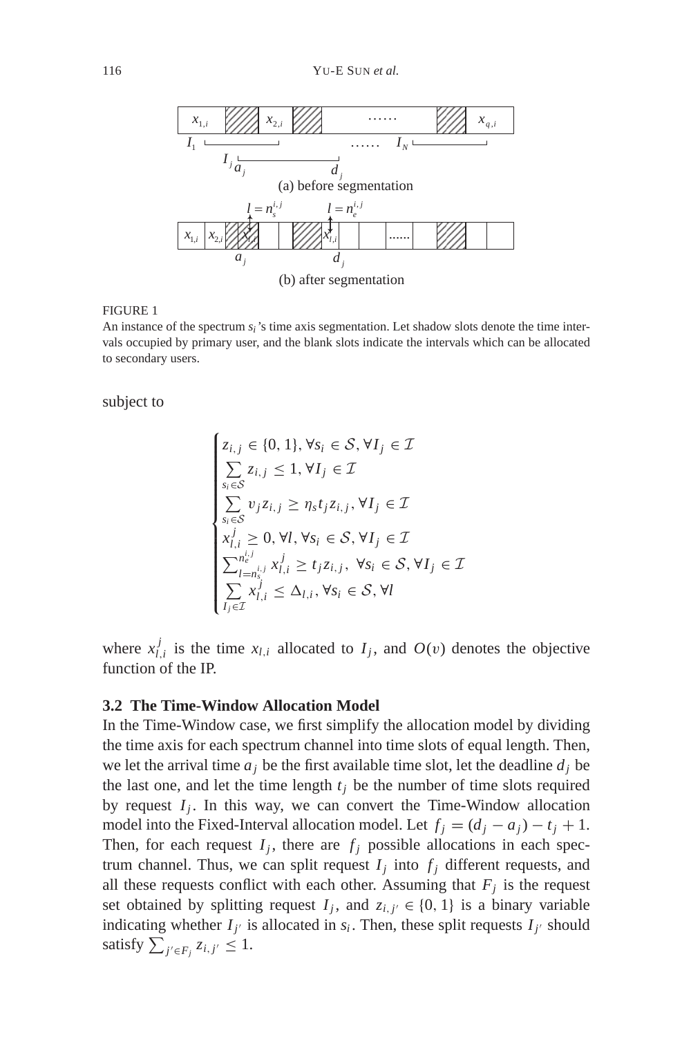

#### FIGURE 1

An instance of the spectrum *si*'s time axis segmentation. Let shadow slots denote the time intervals occupied by primary user, and the blank slots indicate the intervals which can be allocated to secondary users.

subject to

$$
\begin{cases}\nz_{i,j} \in \{0, 1\}, \forall s_i \in S, \forall I_j \in \mathcal{I} \\
\sum_{s_i \in S} z_{i,j} \leq 1, \forall I_j \in \mathcal{I} \\
\sum_{s_i \in S} v_j z_{i,j} \geq \eta_s t_j z_{i,j}, \forall I_j \in \mathcal{I} \\
x_{i,i}^j \geq 0, \forall l, \forall s_i \in S, \forall I_j \in \mathcal{I} \\
\sum_{l=n_s^{n,j}}^{n_e^{j,j}} x_{l,i}^j \geq t_j z_{i,j}, \forall s_i \in S, \forall I_j \in \mathcal{I} \\
\sum_{I_j \in \mathcal{I}}^{n_j^j} x_{l,i}^j \leq \Delta_{l,i}, \forall s_i \in S, \forall l\n\end{cases}
$$

where  $x_{l,i}^j$  is the time  $x_{l,i}$  allocated to  $I_j$ , and  $O(v)$  denotes the objective function of the IP.

### **3.2 The Time-Window Allocation Model**

In the Time-Window case, we first simplify the allocation model by dividing the time axis for each spectrum channel into time slots of equal length. Then, we let the arrival time  $a_i$  be the first available time slot, let the deadline  $d_i$  be the last one, and let the time length  $t_i$  be the number of time slots required by request  $I_j$ . In this way, we can convert the Time-Window allocation model into the Fixed-Interval allocation model. Let  $f_j = (d_j - a_j) - t_j + 1$ . Then, for each request  $I_i$ , there are  $f_i$  possible allocations in each spectrum channel. Thus, we can split request  $I_j$  into  $f_j$  different requests, and all these requests conflict with each other. Assuming that  $F_j$  is the request set obtained by splitting request  $I_j$ , and  $z_{i,j'} \in \{0, 1\}$  is a binary variable indicating whether  $I_{j'}$  is allocated in  $s_i$ . Then, these split requests  $I_{j'}$  should satisfy  $\sum_{j' \in F_j} z_{i,j'} \leq 1$ .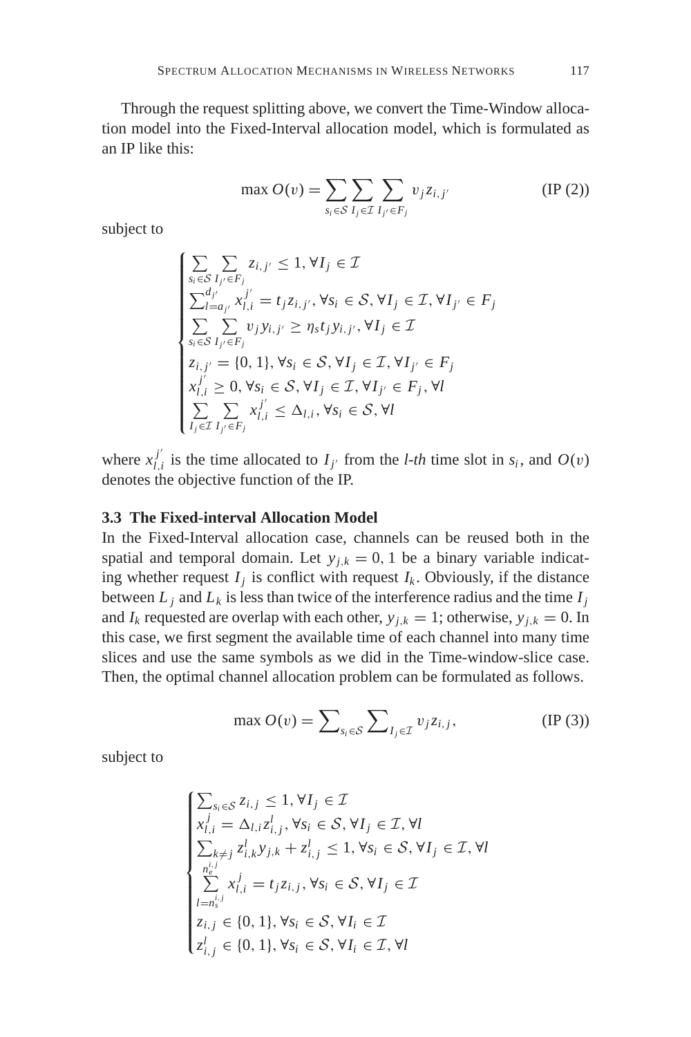Through the request splitting above, we convert the Time-Window allocation model into the Fixed-Interval allocation model, which is formulated as an IP like this:

$$
\max O(v) = \sum_{s_i \in S} \sum_{I_j \in \mathcal{I}} \sum_{I_{j'} \in F_j} v_j z_{i,j'}
$$
 (IP (2))

subject to

$$
\begin{cases}\n\sum_{s_i \in S} \sum_{I_{j'} \in F_j} z_{i,j'} \leq 1, \forall I_j \in \mathcal{I} \\
\sum_{I=a_{j'}}^{d_{j'}} x_{I,i}^{j'} = t_j z_{i,j'}, \forall s_i \in S, \forall I_j \in \mathcal{I}, \forall I_{j'} \in F_j \\
\sum_{s_i \in S} \sum_{I_{j'} \in F_j} v_j y_{i,j'} \geq \eta_s t_j y_{i,j'}, \forall I_j \in \mathcal{I} \\
z_{i,j'} = \{0, 1\}, \forall s_i \in S, \forall I_j \in \mathcal{I}, \forall I_{j'} \in F_j \\
x_{I,i}^{j'} \geq 0, \forall s_i \in S, \forall I_j \in \mathcal{I}, \forall I_{j'} \in F_j, \forall I \\
\sum_{I_j \in \mathcal{I}} \sum_{I_{j'} \in F_j} x_{I,i}^{j'} \leq \Delta_{I,i}, \forall s_i \in S, \forall I\n\end{cases}
$$

where  $x_{l,i}^{j'}$  is the time allocated to  $I_{j'}$  from the *l-th* time slot in  $s_i$ , and  $O(v)$ denotes the objective function of the IP.

### **3.3 The Fixed-interval Allocation Model**

In the Fixed-Interval allocation case, channels can be reused both in the spatial and temporal domain. Let  $y_{i,k} = 0$ , 1 be a binary variable indicating whether request  $I_j$  is conflict with request  $I_k$ . Obviously, if the distance between  $L_i$  and  $L_k$  is less than twice of the interference radius and the time  $I_i$ and  $I_k$  requested are overlap with each other,  $y_{j,k} = 1$ ; otherwise,  $y_{j,k} = 0$ . In this case, we first segment the available time of each channel into many time slices and use the same symbols as we did in the Time-window-slice case. Then, the optimal channel allocation problem can be formulated as follows.

$$
\max O(v) = \sum_{s_i \in \mathcal{S}} \sum_{I_j \in \mathcal{I}} v_j z_{i,j},
$$
 (IP (3))

subject to

$$
\begin{cases}\n\sum_{s_i \in \mathcal{S}} z_{i,j} \leq 1, \forall I_j \in \mathcal{I} \\
x_{l,i}^j = \Delta_{l,i} z_{i,j}^l, \forall s_i \in \mathcal{S}, \forall I_j \in \mathcal{I}, \forall l \\
\sum_{k \neq j} z_{i,k}^j y_{j,k} + z_{i,j}^l \leq 1, \forall s_i \in \mathcal{S}, \forall I_j \in \mathcal{I}, \forall l \\
\sum_{l=n_s^{i,j}}^{n_e^{i,j}} x_{l,i}^j = t_j z_{i,j}, \forall s_i \in \mathcal{S}, \forall I_j \in \mathcal{I} \\
z_{i,j} \in \{0, 1\}, \forall s_i \in \mathcal{S}, \forall I_i \in \mathcal{I} \\
z_{i,j}^l \in \{0, 1\}, \forall s_i \in \mathcal{S}, \forall I_i \in \mathcal{I}, \forall l\n\end{cases}
$$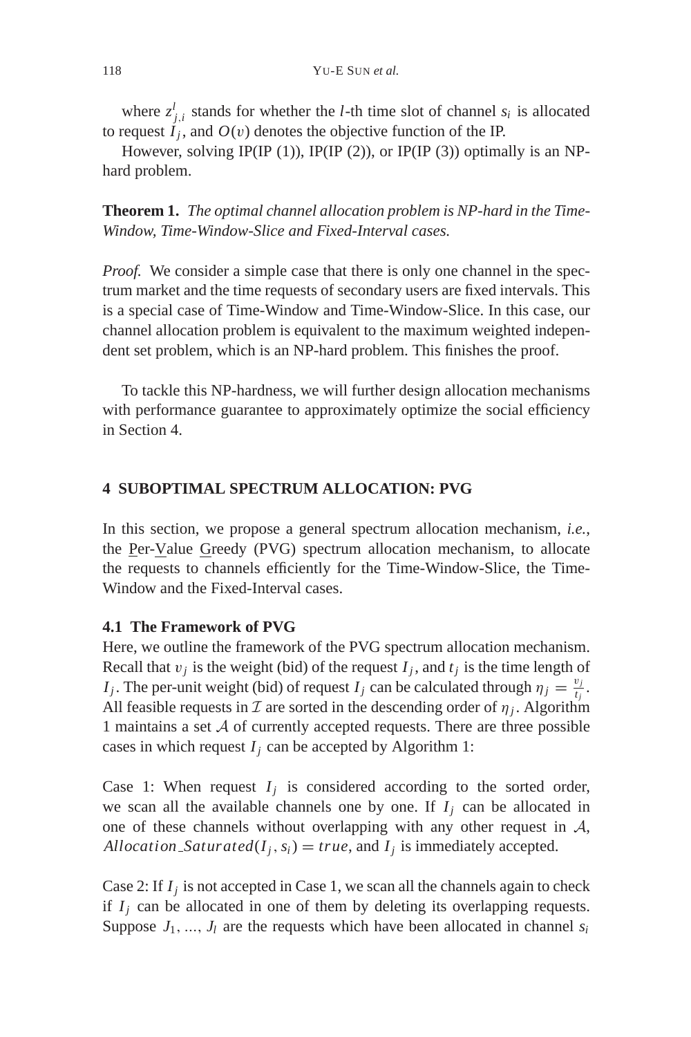where  $z_{j,i}^l$  stands for whether the *l*-th time slot of channel  $s_i$  is allocated to request  $I_i$ , and  $O(v)$  denotes the objective function of the IP.

However, solving IP(IP (1)), IP(IP (2)), or IP(IP (3)) optimally is an NPhard problem.

**Theorem 1.** *The optimal channel allocation problem is NP-hard in the Time-Window, Time-Window-Slice and Fixed-Interval cases.*

*Proof.* We consider a simple case that there is only one channel in the spectrum market and the time requests of secondary users are fixed intervals. This is a special case of Time-Window and Time-Window-Slice. In this case, our channel allocation problem is equivalent to the maximum weighted independent set problem, which is an NP-hard problem. This finishes the proof.

To tackle this NP-hardness, we will further design allocation mechanisms with performance guarantee to approximately optimize the social efficiency in Section 4.

# **4 SUBOPTIMAL SPECTRUM ALLOCATION: PVG**

In this section, we propose a general spectrum allocation mechanism, *i.e.*, the Per-Value Greedy (PVG) spectrum allocation mechanism, to allocate the requests to channels efficiently for the Time-Window-Slice, the Time-Window and the Fixed-Interval cases.

### **4.1 The Framework of PVG**

Here, we outline the framework of the PVG spectrum allocation mechanism. Recall that  $v_j$  is the weight (bid) of the request  $I_j$ , and  $t_j$  is the time length of *I<sub>j</sub>*. The per-unit weight (bid) of request *I<sub>j</sub>* can be calculated through  $\eta_j = \frac{v_j}{t_j}$ . All feasible requests in  $\mathcal I$  are sorted in the descending order of  $\eta_i$ . Algorithm 1 maintains a set  $A$  of currently accepted requests. There are three possible cases in which request  $I_j$  can be accepted by Algorithm 1:

Case 1: When request  $I_j$  is considered according to the sorted order, we scan all the available channels one by one. If  $I_i$  can be allocated in one of these channels without overlapping with any other request in  $A$ , *Allocation Saturated*( $I_j$ ,  $s_i$ ) = *true*, and  $I_j$  is immediately accepted.

Case 2: If  $I_i$  is not accepted in Case 1, we scan all the channels again to check if  $I_j$  can be allocated in one of them by deleting its overlapping requests. Suppose  $J_1$ , ...,  $J_l$  are the requests which have been allocated in channel  $s_i$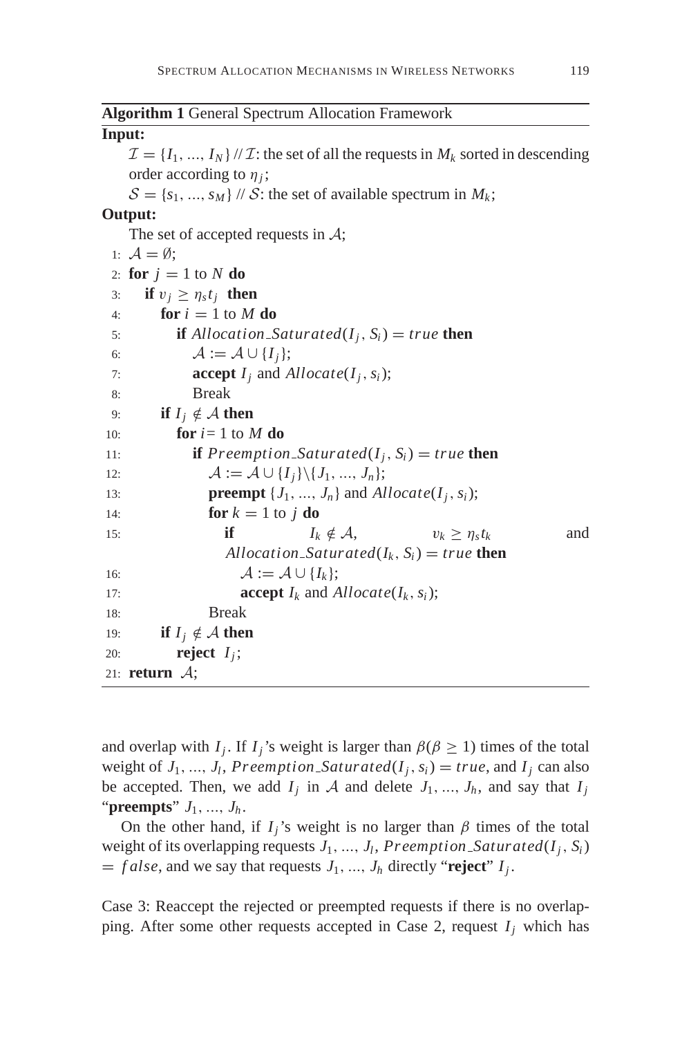| <b>Algorithm 1 General Spectrum Allocation Framework</b>                                               |
|--------------------------------------------------------------------------------------------------------|
| Input:                                                                                                 |
| $\mathcal{I} = \{I_1, , I_N\}/\mathcal{I}$ : the set of all the requests in $M_k$ sorted in descending |
| order according to $\eta_i$ ;                                                                          |
| $S = \{s_1, , s_M\}$ // S: the set of available spectrum in $M_k$ ;                                    |
| Output:                                                                                                |
| The set of accepted requests in $A$ ;                                                                  |
| 1: $\mathcal{A} = \emptyset$ ;                                                                         |
| 2: for $j = 1$ to N do                                                                                 |
| <b>if</b> $v_i \geq \eta_s t_i$ then<br>3:                                                             |
| for $i = 1$ to M do<br>4:                                                                              |
| <b>if</b> Allocation_Saturated( $I_i$ , $S_i$ ) = true <b>then</b><br>5:                               |
| $\mathcal{A} := \mathcal{A} \cup \{I_i\};$<br>6:                                                       |
| <b>accept</b> $I_i$ and $\text{Allocate}(I_i, s_i);$<br>7:                                             |
| <b>Break</b><br>8:                                                                                     |
| if $I_i \notin \mathcal{A}$ then<br>9:                                                                 |
| for $i=1$ to M do<br>10:                                                                               |
| <b>if</b> Preemption_Saturated( $I_j$ , $S_i$ ) = true <b>then</b><br>11:                              |
| $\mathcal{A} := \mathcal{A} \cup \{I_i\} \backslash \{J_1, , J_n\};$<br>12:                            |
| <b>preempt</b> $\{J_1, , J_n\}$ and $\text{Allocate}(I_j, s_i)$ ;<br>13:                               |
| for $k = 1$ to j do<br>14:                                                                             |
| if<br>$I_k \notin \mathcal{A}$ .<br>$v_k \geq \eta_s t_k$<br>and<br>15:                                |
| Allocation_Saturated( $I_k$ , $S_i$ ) = true then                                                      |
| $\mathcal{A} := \mathcal{A} \cup \{I_k\};$<br>16:                                                      |
| <b>accept</b> $I_k$ and $\text{Allocate}(I_k, s_i)$ ;<br>17:                                           |
| <b>Break</b><br>18:                                                                                    |
| <b>if</b> $I_i \notin \mathcal{A}$ then<br>19:                                                         |
| reject $I_j$ ;<br>20:                                                                                  |
| 21: <b>return</b> $\mathcal{A}$ ;                                                                      |

and overlap with *I<sub>j</sub>*. If *I<sub>j</sub>*'s weight is larger than  $\beta(\beta \ge 1)$  times of the total weight of  $J_1$ , ...,  $J_l$ , *Preemption\_Saturated*( $I_j$ ,  $s_i$ ) = *true*, and  $I_j$  can also be accepted. Then, we add  $I_j$  in A and delete  $J_1, ..., J_h$ , and say that  $I_j$ "**preempts**" *J*1, ..., *Jh* .

On the other hand, if  $I_j$ 's weight is no larger than  $\beta$  times of the total weight of its overlapping requests  $J_1, ..., J_l$ , *Preemption\_Saturated*( $I_j, S_i$ )  $=$  *f alse*, and we say that requests  $J_1$ , ...,  $J_h$  directly "**reject**"  $I_j$ .

Case 3: Reaccept the rejected or preempted requests if there is no overlapping. After some other requests accepted in Case 2, request  $I_i$  which has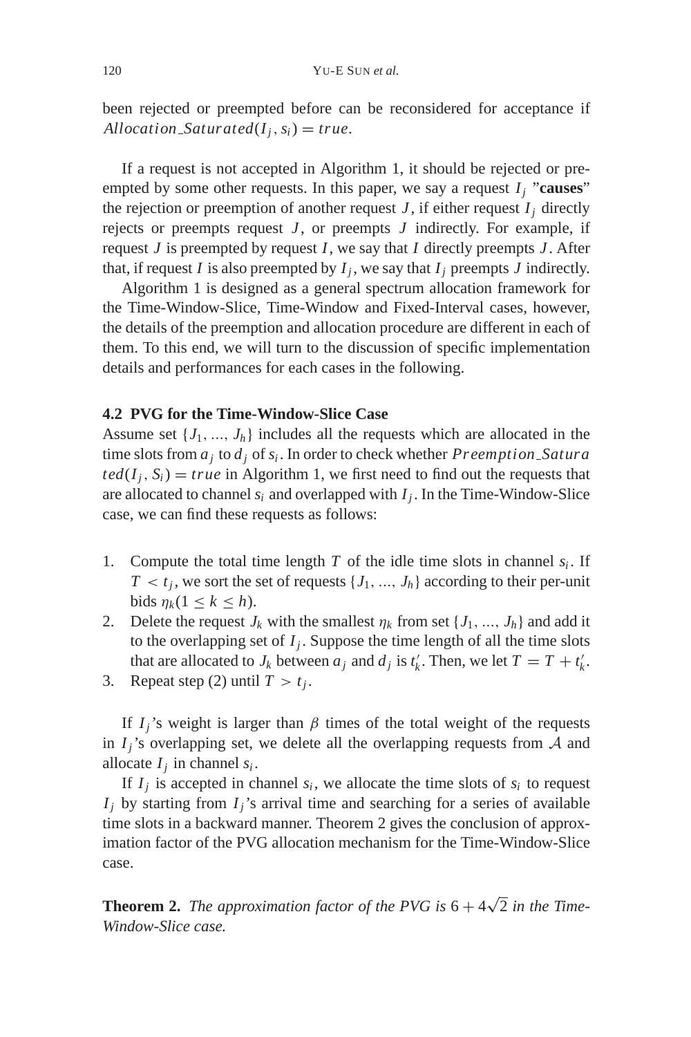been rejected or preempted before can be reconsidered for acceptance if  $A$ *llocation*  $S$ *aturated*( $I$ <sub>*i*</sub>,  $s$ <sub>*i*</sub>) = *true*.

If a request is not accepted in Algorithm 1, it should be rejected or preempted by some other requests. In this paper, we say a request  $I_i$  "causes" the rejection or preemption of another request  $J$ , if either request  $I_i$  directly rejects or preempts request *J* , or preempts *J* indirectly. For example, if request *J* is preempted by request *I*, we say that *I* directly preempts *J* . After that, if request *I* is also preempted by  $I_i$ , we say that  $I_i$  preempts *J* indirectly.

Algorithm 1 is designed as a general spectrum allocation framework for the Time-Window-Slice, Time-Window and Fixed-Interval cases, however, the details of the preemption and allocation procedure are different in each of them. To this end, we will turn to the discussion of specific implementation details and performances for each cases in the following.

### **4.2 PVG for the Time-Window-Slice Case**

Assume set  $\{J_1, ..., J_h\}$  includes all the requests which are allocated in the time slots from *aj* to *dj* of *si* . In order to check whether *Preemption Satura*  $ted(I_i, S_i) = true$  in Algorithm 1, we first need to find out the requests that are allocated to channel  $s_i$  and overlapped with  $I_i$ . In the Time-Window-Slice case, we can find these requests as follows:

- 1. Compute the total time length  $T$  of the idle time slots in channel  $s_i$ . If  $T < t_j$ , we sort the set of requests  $\{J_1, ..., J_h\}$  according to their per-unit bids  $\eta_k (1 \leq k \leq h)$ .
- 2. Delete the request  $J_k$  with the smallest  $\eta_k$  from set  $\{J_1, ..., J_h\}$  and add it to the overlapping set of  $I_i$ . Suppose the time length of all the time slots that are allocated to  $J_k$  between  $a_j$  and  $d_j$  is  $t'_k$ . Then, we let  $T = T + t'_k$ .
- 3. Repeat step (2) until  $T > t_i$ .

If  $I_i$ 's weight is larger than  $\beta$  times of the total weight of the requests in  $I_j$ 's overlapping set, we delete all the overlapping requests from  $A$  and allocate  $I_i$  in channel  $s_i$ .

If  $I_j$  is accepted in channel  $s_i$ , we allocate the time slots of  $s_i$  to request  $I_j$  by starting from  $I_j$ 's arrival time and searching for a series of available time slots in a backward manner. Theorem 2 gives the conclusion of approximation factor of the PVG allocation mechanism for the Time-Window-Slice case.

**Theorem 2.** The approximation factor of the PVG is  $6 + 4\sqrt{2}$  in the Time-*Window-Slice case.*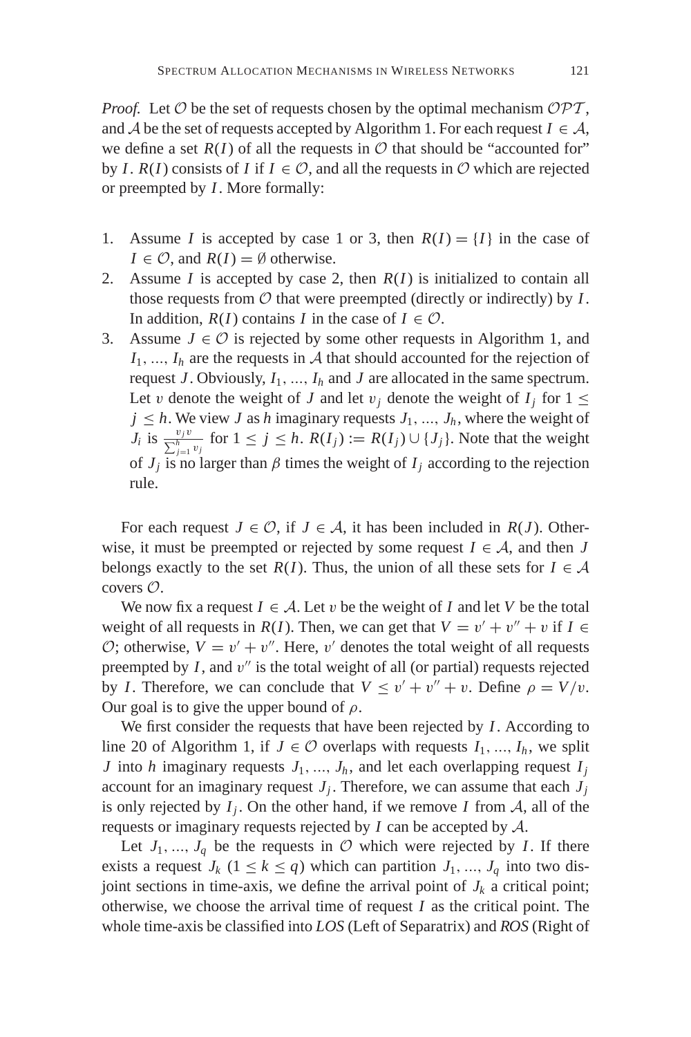*Proof.* Let  $O$  be the set of requests chosen by the optimal mechanism  $OPT$ , and A be the set of requests accepted by Algorithm 1. For each request  $I \in \mathcal{A}$ , we define a set  $R(I)$  of all the requests in  $O$  that should be "accounted for" by *I*.  $R(I)$  consists of *I* if  $I \in \mathcal{O}$ , and all the requests in  $\mathcal O$  which are rejected or preempted by *I*. More formally:

- 1. Assume *I* is accepted by case 1 or 3, then  $R(I) = \{I\}$  in the case of *I*  $\in \mathcal{O}$ , and *R*(*I*) = Ø otherwise.
- 2. Assume  $I$  is accepted by case 2, then  $R(I)$  is initialized to contain all those requests from  $O$  that were preempted (directly or indirectly) by  $I$ . In addition,  $R(I)$  contains *I* in the case of  $I \in \mathcal{O}$ .
- 3. Assume  $J \in \mathcal{O}$  is rejected by some other requests in Algorithm 1, and  $I_1, \ldots, I_h$  are the requests in  $A$  that should accounted for the rejection of request  $J$ . Obviously,  $I_1$ , ...,  $I_h$  and  $J$  are allocated in the same spectrum. Let v denote the weight of *J* and let  $v_j$  denote the weight of  $I_j$  for  $1 \leq$  $j \leq h$ . We view *J* as *h* imaginary requests  $J_1, ..., J_h$ , where the weight of *J<sub>i</sub>* is  $\frac{v_j v}{\sum_{j=1}^h v_j}$  for  $1 \le j \le h$ .  $R(I_j) := R(I_j) \cup \{J_j\}$ . Note that the weight of  $J_j$  is no larger than  $\beta$  times the weight of  $I_j$  according to the rejection rule.

For each request  $J \in \mathcal{O}$ , if  $J \in \mathcal{A}$ , it has been included in  $R(J)$ . Otherwise, it must be preempted or rejected by some request  $I \in \mathcal{A}$ , and then *J* belongs exactly to the set  $R(I)$ . Thus, the union of all these sets for  $I \in \mathcal{A}$ covers O.

We now fix a request  $I \in \mathcal{A}$ . Let v be the weight of *I* and let *V* be the total weight of all requests in *R*(*I*). Then, we can get that  $V = v' + v'' + v$  if  $I \in$  $\mathcal{O}$ ; otherwise,  $V = v' + v''$ . Here, v' denotes the total weight of all requests preempted by  $I$ , and  $v''$  is the total weight of all (or partial) requests rejected by *I*. Therefore, we can conclude that  $V \le v' + v'' + v$ . Define  $\rho = V/v$ . Our goal is to give the upper bound of  $\rho$ .

We first consider the requests that have been rejected by *I*. According to line 20 of Algorithm 1, if  $J \in \mathcal{O}$  overlaps with requests  $I_1, ..., I_h$ , we split *J* into *h* imaginary requests  $J_1, ..., J_h$ , and let each overlapping request  $I_i$ account for an imaginary request  $J_j$ . Therefore, we can assume that each  $J_j$ is only rejected by  $I_i$ . On the other hand, if we remove  $I$  from  $A$ , all of the requests or imaginary requests rejected by *I* can be accepted by A.

Let  $J_1, ..., J_q$  be the requests in  $O$  which were rejected by *I*. If there exists a request  $J_k$  ( $1 \le k \le q$ ) which can partition  $J_1, ..., J_q$  into two disjoint sections in time-axis, we define the arrival point of  $J_k$  a critical point; otherwise, we choose the arrival time of request *I* as the critical point. The whole time-axis be classified into *LOS* (Left of Separatrix) and *ROS* (Right of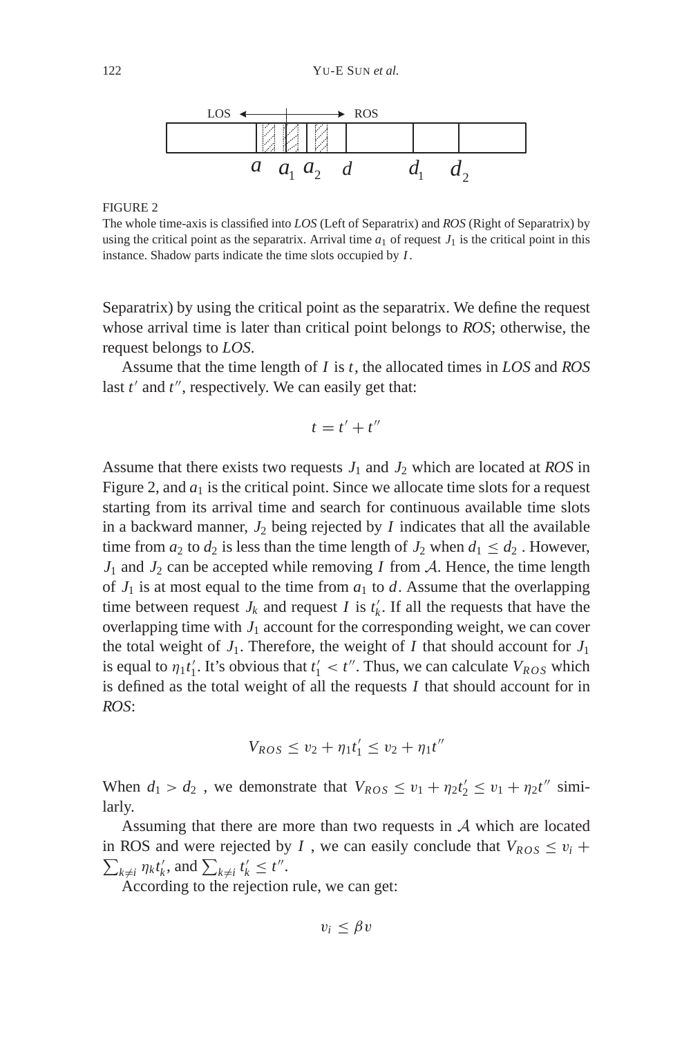

#### FIGURE 2

The whole time-axis is classified into *LOS* (Left of Separatrix) and *ROS* (Right of Separatrix) by using the critical point as the separatrix. Arrival time  $a_1$  of request  $J_1$  is the critical point in this instance. Shadow parts indicate the time slots occupied by *I*.

Separatrix) by using the critical point as the separatrix. We define the request whose arrival time is later than critical point belongs to *ROS*; otherwise, the request belongs to *LOS*.

Assume that the time length of *I* is *t*, the allocated times in *LOS* and *ROS* last  $t'$  and  $t''$ , respectively. We can easily get that:

$$
t=t'+t''
$$

Assume that there exists two requests  $J_1$  and  $J_2$  which are located at *ROS* in Figure 2, and  $a_1$  is the critical point. Since we allocate time slots for a request starting from its arrival time and search for continuous available time slots in a backward manner,  $J_2$  being rejected by  $I$  indicates that all the available time from  $a_2$  to  $d_2$  is less than the time length of  $J_2$  when  $d_1 \leq d_2$ . However,  $J_1$  and  $J_2$  can be accepted while removing *I* from  $A$ . Hence, the time length of  $J_1$  is at most equal to the time from  $a_1$  to  $d$ . Assume that the overlapping time between request  $J_k$  and request *I* is  $t'_k$ . If all the requests that have the overlapping time with  $J_1$  account for the corresponding weight, we can cover the total weight of  $J_1$ . Therefore, the weight of  $I$  that should account for  $J_1$ is equal to  $\eta_1 t'_1$ . It's obvious that  $t'_1 < t''$ . Thus, we can calculate  $V_{ROS}$  which is defined as the total weight of all the requests *I* that should account for in *ROS*:

$$
V_{ROS} \le v_2 + \eta_1 t_1' \le v_2 + \eta_1 t''
$$

When  $d_1 > d_2$ , we demonstrate that  $V_{ROS} \le v_1 + \eta_2 t_2' \le v_1 + \eta_2 t''$  similarly.

Assuming that there are more than two requests in A which are located in ROS and were rejected by *I*, we can easily conclude that  $V_{ROS} \le v_i$  +  $\sum_{k \neq i} \eta_k t'_k$ , and  $\sum_{k \neq i} t'_k \leq t''$ .

According to the rejection rule, we can get:

$$
v_i \leq \beta v
$$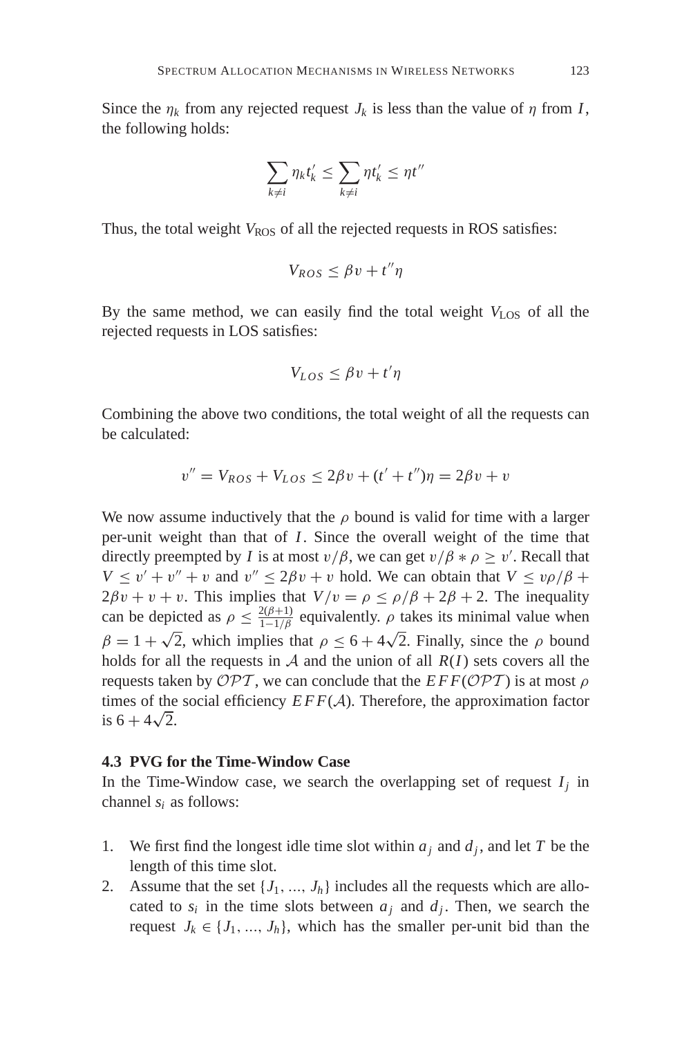Since the  $\eta_k$  from any rejected request  $J_k$  is less than the value of  $\eta$  from *I*, the following holds:

$$
\sum_{k\neq i} \eta_k t'_k \leq \sum_{k\neq i} \eta t'_k \leq \eta t''
$$

Thus, the total weight  $V_{ROS}$  of all the rejected requests in ROS satisfies:

$$
V_{ROS}\leq \beta v+t''\eta
$$

By the same method, we can easily find the total weight  $V_{LOS}$  of all the rejected requests in LOS satisfies:

$$
V_{LOS} \le \beta v + t'\eta
$$

Combining the above two conditions, the total weight of all the requests can be calculated:

$$
v'' = V_{ROS} + V_{LOS} \le 2\beta v + (t' + t'')\eta = 2\beta v + v
$$

We now assume inductively that the  $\rho$  bound is valid for time with a larger per-unit weight than that of *I*. Since the overall weight of the time that directly preempted by *I* is at most  $v/\beta$ , we can get  $v/\beta * \rho \ge v'$ . Recall that  $V \le v' + v'' + v$  and  $v'' \le 2\beta v + v$  hold. We can obtain that  $V \le v \rho/\beta + v'$  $2\beta v + v + v$ . This implies that  $V/v = \rho \le \rho/\beta + 2\beta + 2$ . The inequality can be depicted as  $\rho \leq \frac{2(\beta+1)}{1-1/\beta}$  equivalently.  $\rho$  takes its minimal value when  $β = 1 + √2$ , which implies that  $ρ ≤ 6 + 4√2$ . Finally, since the *ρ* bound holds for all the requests in  $A$  and the union of all  $R(I)$  sets covers all the requests taken by  $\mathcal{OPT}$ , we can conclude that the  $EFF(\mathcal{OPT})$  is at most  $\rho$ times of the social efficiency  $EFF(\mathcal{A})$ . Therefore, the approximation factor times of the<br>is  $6 + 4\sqrt{2}$ .

### **4.3 PVG for the Time-Window Case**

In the Time-Window case, we search the overlapping set of request  $I_i$  in channel *si* as follows:

- 1. We first find the longest idle time slot within  $a_j$  and  $d_j$ , and let *T* be the length of this time slot.
- 2. Assume that the set  $\{J_1, ..., J_h\}$  includes all the requests which are allocated to  $s_i$  in the time slots between  $a_i$  and  $d_i$ . Then, we search the request  $J_k \in \{J_1, ..., J_h\}$ , which has the smaller per-unit bid than the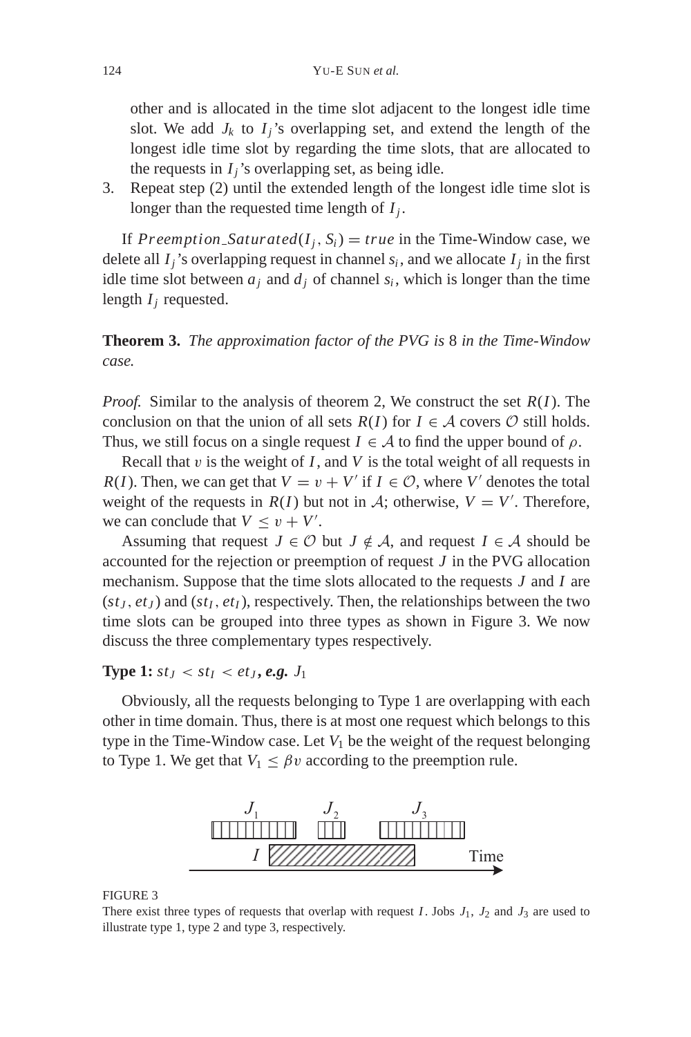other and is allocated in the time slot adjacent to the longest idle time slot. We add  $J_k$  to  $I_i$ 's overlapping set, and extend the length of the longest idle time slot by regarding the time slots, that are allocated to the requests in  $I_i$ 's overlapping set, as being idle.

3. Repeat step (2) until the extended length of the longest idle time slot is longer than the requested time length of  $I_i$ .

If *Preemption Saturated*( $I_j$ ,  $S_i$ ) = *true* in the Time-Window case, we delete all  $I_i$ 's overlapping request in channel  $s_i$ , and we allocate  $I_i$  in the first idle time slot between  $a_i$  and  $d_i$  of channel  $s_i$ , which is longer than the time length  $I_j$  requested.

**Theorem 3.** *The approximation factor of the PVG is* 8 *in the Time-Window case.*

*Proof.* Similar to the analysis of theorem 2, We construct the set *R*(*I*). The conclusion on that the union of all sets  $R(I)$  for  $I \in \mathcal{A}$  covers  $\mathcal{O}$  still holds. Thus, we still focus on a single request  $I \in \mathcal{A}$  to find the upper bound of  $\rho$ .

Recall that  $v$  is the weight of  $I$ , and  $V$  is the total weight of all requests in *R*(*I*). Then, we can get that  $V = v + V'$  if  $I \in \mathcal{O}$ , where *V'* denotes the total weight of the requests in  $R(I)$  but not in  $A$ ; otherwise,  $V = V'$ . Therefore, we can conclude that  $V \le v + V'$ .

Assuming that request  $J \in \mathcal{O}$  but  $J \notin \mathcal{A}$ , and request  $I \in \mathcal{A}$  should be accounted for the rejection or preemption of request *J* in the PVG allocation mechanism. Suppose that the time slots allocated to the requests *J* and *I* are  $(st<sub>J</sub>, et<sub>J</sub>)$  and  $(st<sub>I</sub>, et<sub>I</sub>)$ , respectively. Then, the relationships between the two time slots can be grouped into three types as shown in Figure 3. We now discuss the three complementary types respectively.

**Type 1:**  $st_I < st_I < et_J$ , *e.g.*  $J_1$ 

Obviously, all the requests belonging to Type 1 are overlapping with each other in time domain. Thus, there is at most one request which belongs to this type in the Time-Window case. Let  $V_1$  be the weight of the request belonging to Type 1. We get that  $V_1 \leq \beta v$  according to the preemption rule.



#### FIGURE 3

There exist three types of requests that overlap with request  $I$ . Jobs  $J_1$ ,  $J_2$  and  $J_3$  are used to illustrate type 1, type 2 and type 3, respectively.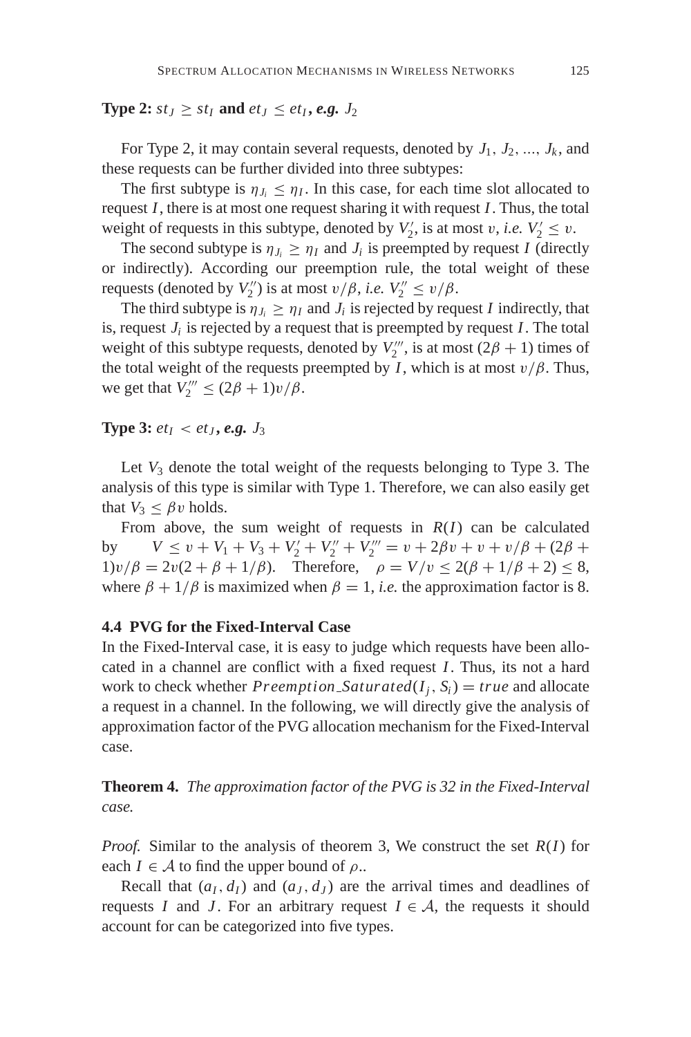## **Type 2:**  $st_J \geq st_I$  and  $et_J \leq et_I$ , *e.g.*  $J_2$

For Type 2, it may contain several requests, denoted by  $J_1, J_2, ..., J_k$ , and these requests can be further divided into three subtypes:

The first subtype is  $\eta_{J_i} \leq \eta_I$ . In this case, for each time slot allocated to request *I*, there is at most one request sharing it with request *I*. Thus, the total weight of requests in this subtype, denoted by  $V'_2$ , is at most v, *i.e.*  $V'_2 \le v$ .

The second subtype is  $\eta_{J_i} \geq \eta_I$  and  $J_i$  is preempted by request *I* (directly or indirectly). According our preemption rule, the total weight of these requests (denoted by  $V_2''$ ) is at most  $v/\beta$ , *i.e.*  $V_2'' \le v/\beta$ .

The third subtype is  $\eta_{J_i} \geq \eta_I$  and  $J_i$  is rejected by request *I* indirectly, that is, request  $J_i$  is rejected by a request that is preempted by request  $I$ . The total weight of this subtype requests, denoted by  $V_2^{\prime\prime\prime}$ , is at most  $(2\beta + 1)$  times of the total weight of the requests preempted by *I*, which is at most  $v/\beta$ . Thus, we get that  $V_2^{\prime\prime\prime} \leq (2\beta + 1)v/\beta$ .

**Type 3:**  $et_1 < et_2$ , *e.g.*  $J_3$ 

Let  $V_3$  denote the total weight of the requests belonging to Type 3. The analysis of this type is similar with Type 1. Therefore, we can also easily get that  $V_3 \leq \beta v$  holds.

From above, the sum weight of requests in  $R(I)$  can be calculated by  $V \le v + V_1 + V_3 + V'_2 + V''_2 + V'''_2 = v + 2\beta v + v + v/\beta + (2\beta + 1)\beta$ 1)v/ $\beta = 2v(2 + \beta + 1/\beta)$ . Therefore,  $\rho = V/v \le 2(\beta + 1/\beta + 2) \le 8$ , where  $\beta + 1/\beta$  is maximized when  $\beta = 1$ , *i.e.* the approximation factor is 8.

# **4.4 PVG for the Fixed-Interval Case**

In the Fixed-Interval case, it is easy to judge which requests have been allocated in a channel are conflict with a fixed request *I*. Thus, its not a hard work to check whether *Preemption\_Saturated*( $I_i$ ,  $S_i$ ) = *true* and allocate a request in a channel. In the following, we will directly give the analysis of approximation factor of the PVG allocation mechanism for the Fixed-Interval case.

**Theorem 4.** *The approximation factor of the PVG is 32 in the Fixed-Interval case.*

*Proof.* Similar to the analysis of theorem 3, We construct the set *R*(*I*) for each  $I \in \mathcal{A}$  to find the upper bound of  $\rho$ ..

Recall that  $(a_I, d_I)$  and  $(a_J, d_J)$  are the arrival times and deadlines of requests *I* and *J*. For an arbitrary request  $I \in A$ , the requests it should account for can be categorized into five types.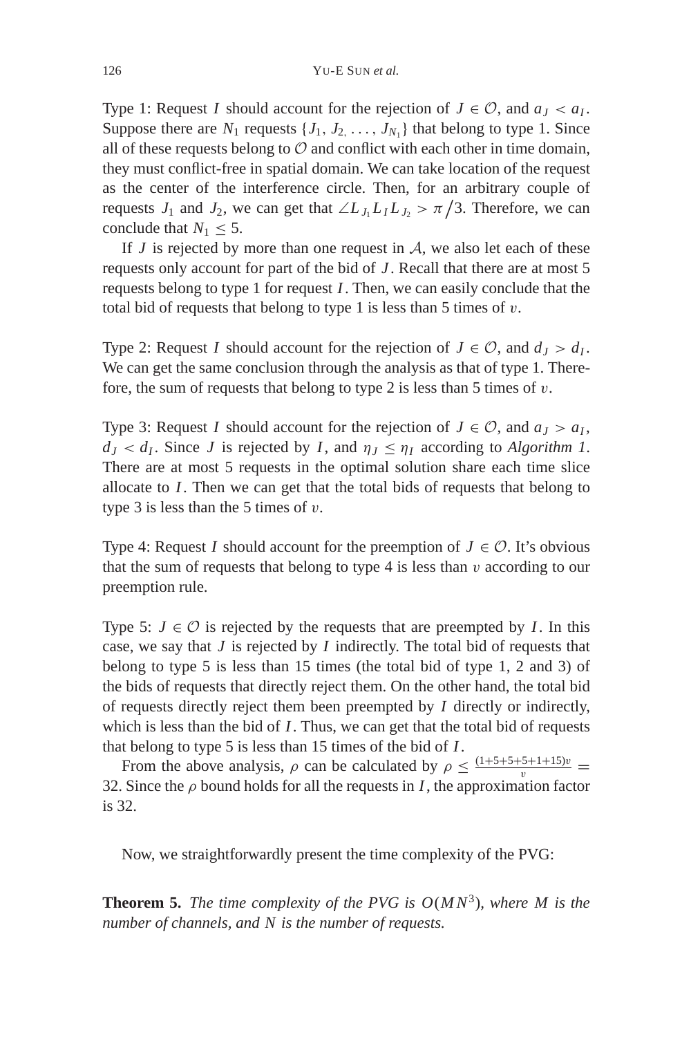Type 1: Request *I* should account for the rejection of  $J \in \mathcal{O}$ , and  $a_J < a_I$ . Suppose there are  $N_1$  requests  $\{J_1, J_2, \ldots, J_{N_1}\}\$  that belong to type 1. Since all of these requests belong to  $\mathcal O$  and conflict with each other in time domain, they must conflict-free in spatial domain. We can take location of the request as the center of the interference circle. Then, for an arbitrary couple of requests *J*<sub>1</sub> and *J*<sub>2</sub>, we can get that  $\angle L_{J_1}L_{I}L_{J_2} > \pi/3$ . Therefore, we can conclude that  $N_1 \leq 5$ .

If  $J$  is rejected by more than one request in  $A$ , we also let each of these requests only account for part of the bid of *J* . Recall that there are at most 5 requests belong to type 1 for request *I*. Then, we can easily conclude that the total bid of requests that belong to type 1 is less than 5 times of  $v$ .

Type 2: Request *I* should account for the rejection of  $J \in \mathcal{O}$ , and  $d_J > d_I$ . We can get the same conclusion through the analysis as that of type 1. Therefore, the sum of requests that belong to type 2 is less than 5 times of  $v$ .

Type 3: Request *I* should account for the rejection of  $J \in \mathcal{O}$ , and  $a_J > a_J$ ,  $d_J < d_I$ . Since *J* is rejected by *I*, and  $\eta_J \leq \eta_I$  according to *Algorithm 1*. There are at most 5 requests in the optimal solution share each time slice allocate to *I*. Then we can get that the total bids of requests that belong to type 3 is less than the 5 times of  $v$ .

Type 4: Request *I* should account for the preemption of  $J \in \mathcal{O}$ . It's obvious that the sum of requests that belong to type 4 is less than  $v$  according to our preemption rule.

Type 5:  $J \in \mathcal{O}$  is rejected by the requests that are preempted by *I*. In this case, we say that *J* is rejected by *I* indirectly. The total bid of requests that belong to type 5 is less than 15 times (the total bid of type 1, 2 and 3) of the bids of requests that directly reject them. On the other hand, the total bid of requests directly reject them been preempted by *I* directly or indirectly, which is less than the bid of *I*. Thus, we can get that the total bid of requests that belong to type 5 is less than 15 times of the bid of *I*.

From the above analysis,  $\rho$  can be calculated by  $\rho \leq \frac{(1+5+5+5+1+15)v}{v}$ 32. Since the  $\rho$  bound holds for all the requests in *I*, the approximation factor is 32.

Now, we straightforwardly present the time complexity of the PVG:

**Theorem 5.** *The time complexity of the PVG is*  $O(MN^3)$ *, where M is the number of channels, and N is the number of requests.*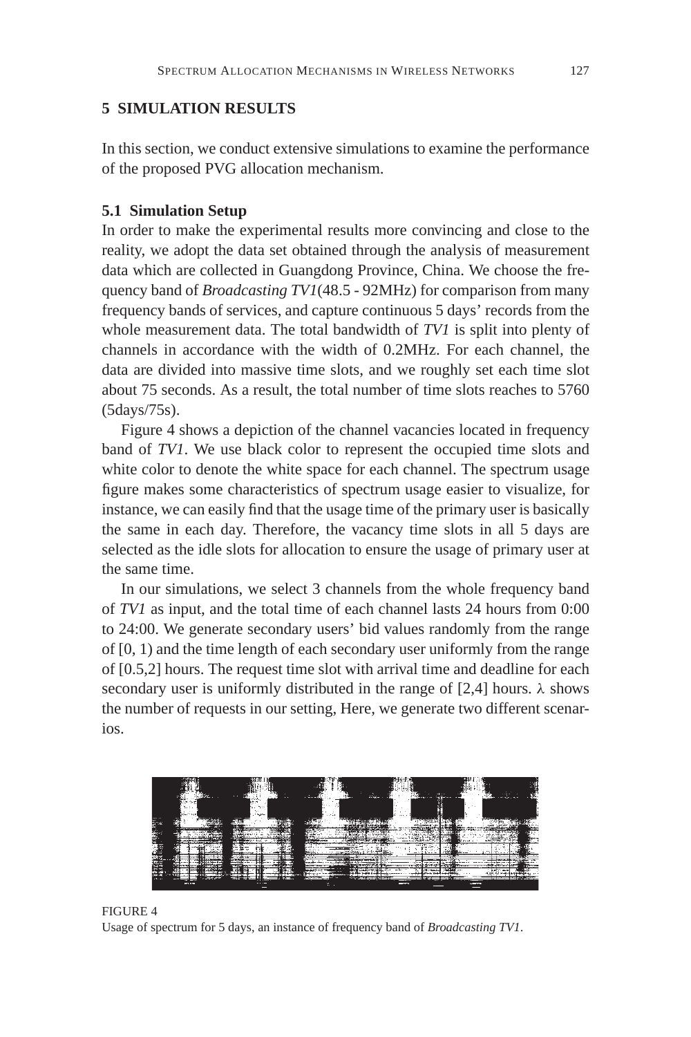# **5 SIMULATION RESULTS**

In this section, we conduct extensive simulations to examine the performance of the proposed PVG allocation mechanism.

## **5.1 Simulation Setup**

In order to make the experimental results more convincing and close to the reality, we adopt the data set obtained through the analysis of measurement data which are collected in Guangdong Province, China. We choose the frequency band of *Broadcasting TV1*(48.5 - 92MHz) for comparison from many frequency bands of services, and capture continuous 5 days' records from the whole measurement data. The total bandwidth of *TV1* is split into plenty of channels in accordance with the width of 0.2MHz. For each channel, the data are divided into massive time slots, and we roughly set each time slot about 75 seconds. As a result, the total number of time slots reaches to 5760 (5days/75s).

Figure 4 shows a depiction of the channel vacancies located in frequency band of *TV1*. We use black color to represent the occupied time slots and white color to denote the white space for each channel. The spectrum usage figure makes some characteristics of spectrum usage easier to visualize, for instance, we can easily find that the usage time of the primary user is basically the same in each day. Therefore, the vacancy time slots in all 5 days are selected as the idle slots for allocation to ensure the usage of primary user at the same time.

In our simulations, we select 3 channels from the whole frequency band of *TV1* as input, and the total time of each channel lasts 24 hours from 0:00 to 24:00. We generate secondary users' bid values randomly from the range of [0, 1) and the time length of each secondary user uniformly from the range of [0.5,2] hours. The request time slot with arrival time and deadline for each secondary user is uniformly distributed in the range of [2,4] hours.  $\lambda$  shows the number of requests in our setting, Here, we generate two different scenarios.



FIGURE 4 Usage of spectrum for 5 days, an instance of frequency band of *Broadcasting TV1*.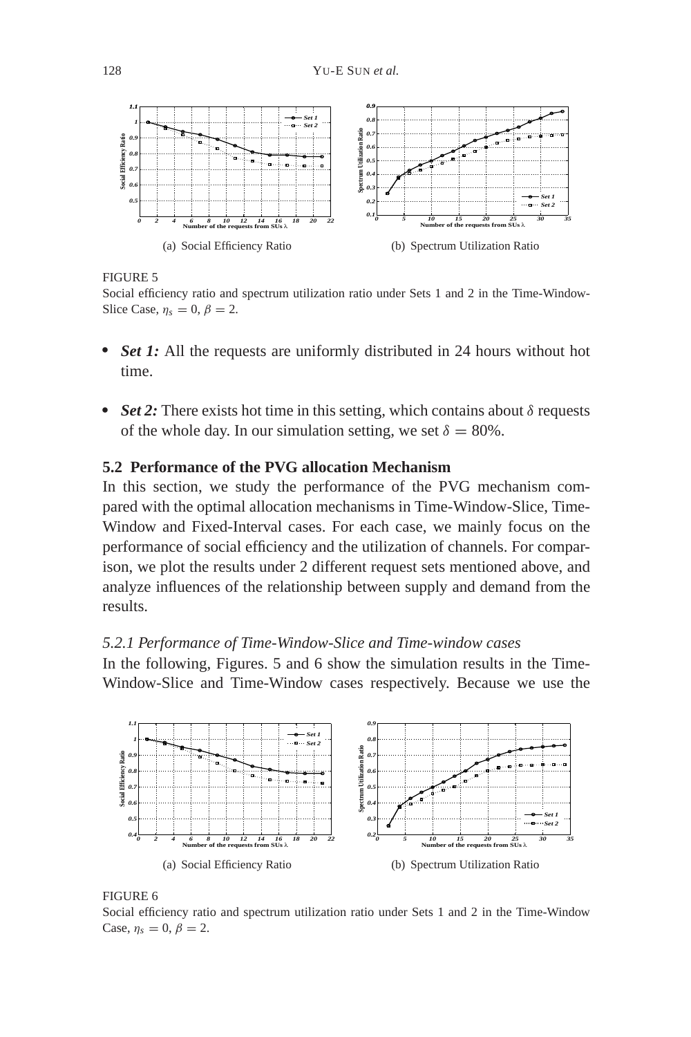

FIGURE 5

Social efficiency ratio and spectrum utilization ratio under Sets 1 and 2 in the Time-Window-Slice Case,  $\eta_s = 0$ ,  $\beta = 2$ .

- **Set 1:** All the requests are uniformly distributed in 24 hours without hot time.
- $\cdot$  *Set 2:* There exists hot time in this setting, which contains about  $\delta$  requests of the whole day. In our simulation setting, we set  $\delta = 80\%$ .

# **5.2 Performance of the PVG allocation Mechanism**

In this section, we study the performance of the PVG mechanism compared with the optimal allocation mechanisms in Time-Window-Slice, Time-Window and Fixed-Interval cases. For each case, we mainly focus on the performance of social efficiency and the utilization of channels. For comparison, we plot the results under 2 different request sets mentioned above, and analyze influences of the relationship between supply and demand from the results.

# *5.2.1 Performance of Time-Window-Slice and Time-window cases*

In the following, Figures. 5 and 6 show the simulation results in the Time-Window-Slice and Time-Window cases respectively. Because we use the



### FIGURE 6

Social efficiency ratio and spectrum utilization ratio under Sets 1 and 2 in the Time-Window Case,  $\eta_s = 0, \beta = 2$ .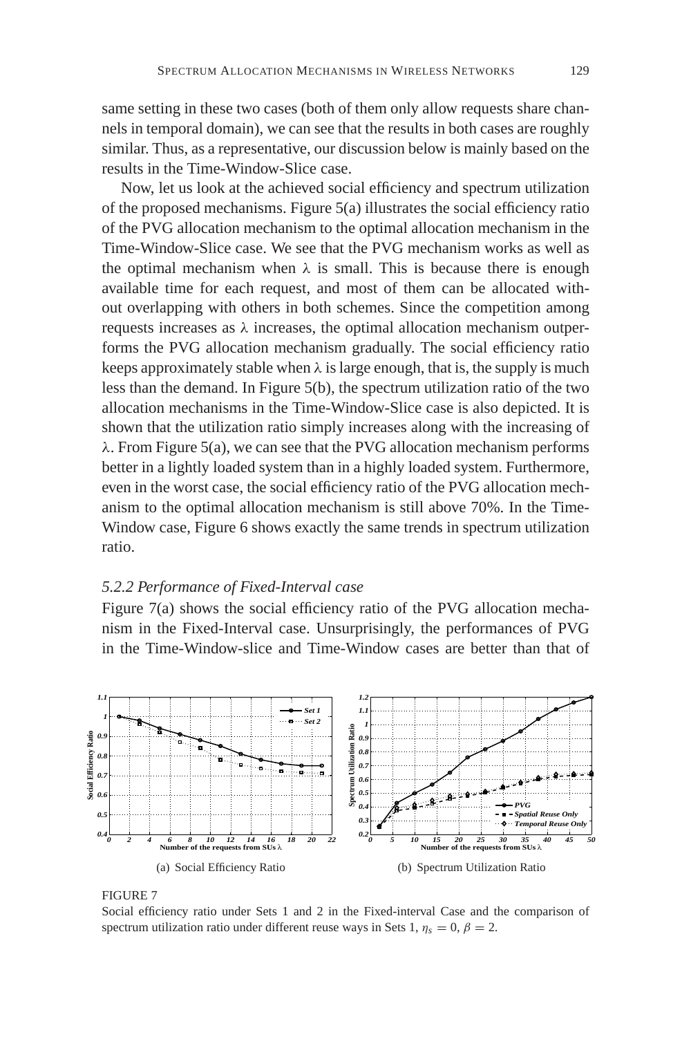same setting in these two cases (both of them only allow requests share channels in temporal domain), we can see that the results in both cases are roughly similar. Thus, as a representative, our discussion below is mainly based on the results in the Time-Window-Slice case.

Now, let us look at the achieved social efficiency and spectrum utilization of the proposed mechanisms. Figure 5(a) illustrates the social efficiency ratio of the PVG allocation mechanism to the optimal allocation mechanism in the Time-Window-Slice case. We see that the PVG mechanism works as well as the optimal mechanism when  $\lambda$  is small. This is because there is enough available time for each request, and most of them can be allocated without overlapping with others in both schemes. Since the competition among requests increases as  $\lambda$  increases, the optimal allocation mechanism outperforms the PVG allocation mechanism gradually. The social efficiency ratio keeps approximately stable when  $\lambda$  is large enough, that is, the supply is much less than the demand. In Figure 5(b), the spectrum utilization ratio of the two allocation mechanisms in the Time-Window-Slice case is also depicted. It is shown that the utilization ratio simply increases along with the increasing of  $\lambda$ . From Figure 5(a), we can see that the PVG allocation mechanism performs better in a lightly loaded system than in a highly loaded system. Furthermore, even in the worst case, the social efficiency ratio of the PVG allocation mechanism to the optimal allocation mechanism is still above 70%. In the Time-Window case, Figure 6 shows exactly the same trends in spectrum utilization ratio.

### *5.2.2 Performance of Fixed-Interval case*

Figure 7(a) shows the social efficiency ratio of the PVG allocation mechanism in the Fixed-Interval case. Unsurprisingly, the performances of PVG in the Time-Window-slice and Time-Window cases are better than that of





Social efficiency ratio under Sets 1 and 2 in the Fixed-interval Case and the comparison of spectrum utilization ratio under different reuse ways in Sets 1,  $\eta_s = 0$ ,  $\beta = 2$ .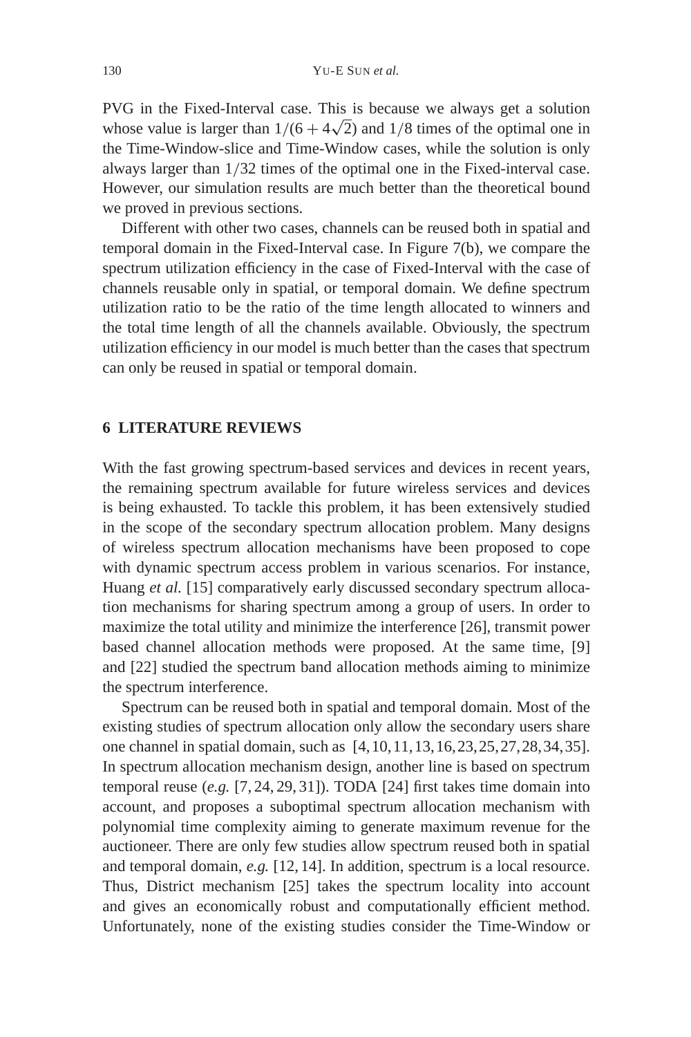PVG in the Fixed-Interval case. This is because we always get a solution PVG in the Fixed-Interval case. This is because we always get a solution whose value is larger than  $1/(6 + 4\sqrt{2})$  and  $1/8$  times of the optimal one in the Time-Window-slice and Time-Window cases, while the solution is only always larger than 1/32 times of the optimal one in the Fixed-interval case. However, our simulation results are much better than the theoretical bound we proved in previous sections.

Different with other two cases, channels can be reused both in spatial and temporal domain in the Fixed-Interval case. In Figure 7(b), we compare the spectrum utilization efficiency in the case of Fixed-Interval with the case of channels reusable only in spatial, or temporal domain. We define spectrum utilization ratio to be the ratio of the time length allocated to winners and the total time length of all the channels available. Obviously, the spectrum utilization efficiency in our model is much better than the cases that spectrum can only be reused in spatial or temporal domain.

# **6 LITERATURE REVIEWS**

With the fast growing spectrum-based services and devices in recent years, the remaining spectrum available for future wireless services and devices is being exhausted. To tackle this problem, it has been extensively studied in the scope of the secondary spectrum allocation problem. Many designs of wireless spectrum allocation mechanisms have been proposed to cope with dynamic spectrum access problem in various scenarios. For instance, Huang et al. [15] comparatively early discussed secondary spectrum allocation mechanisms for sharing spectrum among a group of users. In order to maximize the total utility and minimize the interference [26], transmit power based channel allocation methods were proposed. At the same time, [9] and [22] studied the spectrum band allocation methods aiming to minimize the spectrum interference.

Spectrum can be reused both in spatial and temporal domain. Most of the existing studies of spectrum allocation only allow the secondary users share one channel in spatial domain, such as [4,10,11,13,16,23,25,27,28,34,35]. In spectrum allocation mechanism design, another line is based on spectrum temporal reuse (*e.g.* [7, 24, 29, 31]). TODA [24] first takes time domain into account, and proposes a suboptimal spectrum allocation mechanism with polynomial time complexity aiming to generate maximum revenue for the auctioneer. There are only few studies allow spectrum reused both in spatial and temporal domain, *e.g.* [12, 14]. In addition, spectrum is a local resource. Thus, District mechanism [25] takes the spectrum locality into account and gives an economically robust and computationally efficient method. Unfortunately, none of the existing studies consider the Time-Window or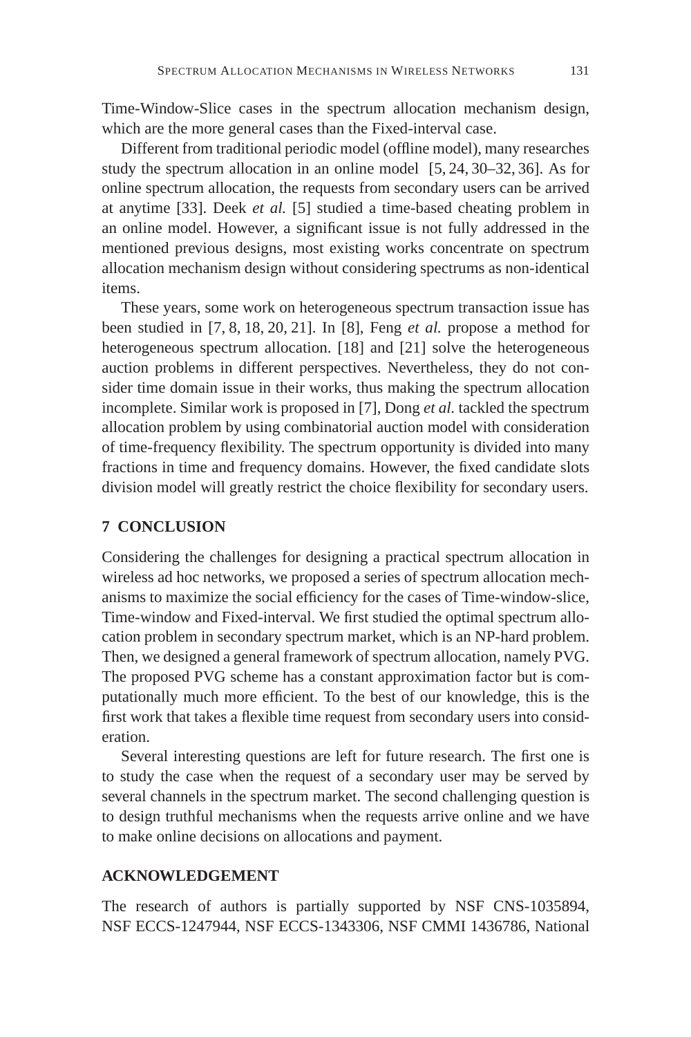Time-Window-Slice cases in the spectrum allocation mechanism design, which are the more general cases than the Fixed-interval case.

Different from traditional periodic model (offline model), many researches study the spectrum allocation in an online model [5, 24, 30–32, 36]. As for online spectrum allocation, the requests from secondary users can be arrived at anytime [33]. Deek *et al.* [5] studied a time-based cheating problem in an online model. However, a significant issue is not fully addressed in the mentioned previous designs, most existing works concentrate on spectrum allocation mechanism design without considering spectrums as non-identical items.

These years, some work on heterogeneous spectrum transaction issue has been studied in [7, 8, 18, 20, 21]. In [8], Feng *et al.* propose a method for heterogeneous spectrum allocation. [18] and [21] solve the heterogeneous auction problems in different perspectives. Nevertheless, they do not consider time domain issue in their works, thus making the spectrum allocation incomplete. Similar work is proposed in [7], Dong *et al.* tackled the spectrum allocation problem by using combinatorial auction model with consideration of time-frequency flexibility. The spectrum opportunity is divided into many fractions in time and frequency domains. However, the fixed candidate slots division model will greatly restrict the choice flexibility for secondary users.

# **7 CONCLUSION**

Considering the challenges for designing a practical spectrum allocation in wireless ad hoc networks, we proposed a series of spectrum allocation mechanisms to maximize the social efficiency for the cases of Time-window-slice, Time-window and Fixed-interval. We first studied the optimal spectrum allocation problem in secondary spectrum market, which is an NP-hard problem. Then, we designed a general framework of spectrum allocation, namely PVG. The proposed PVG scheme has a constant approximation factor but is computationally much more efficient. To the best of our knowledge, this is the first work that takes a flexible time request from secondary users into consideration.

Several interesting questions are left for future research. The first one is to study the case when the request of a secondary user may be served by several channels in the spectrum market. The second challenging question is to design truthful mechanisms when the requests arrive online and we have to make online decisions on allocations and payment.

## **ACKNOWLEDGEMENT**

The research of authors is partially supported by NSF CNS-1035894, NSF ECCS-1247944, NSF ECCS-1343306, NSF CMMI 1436786, National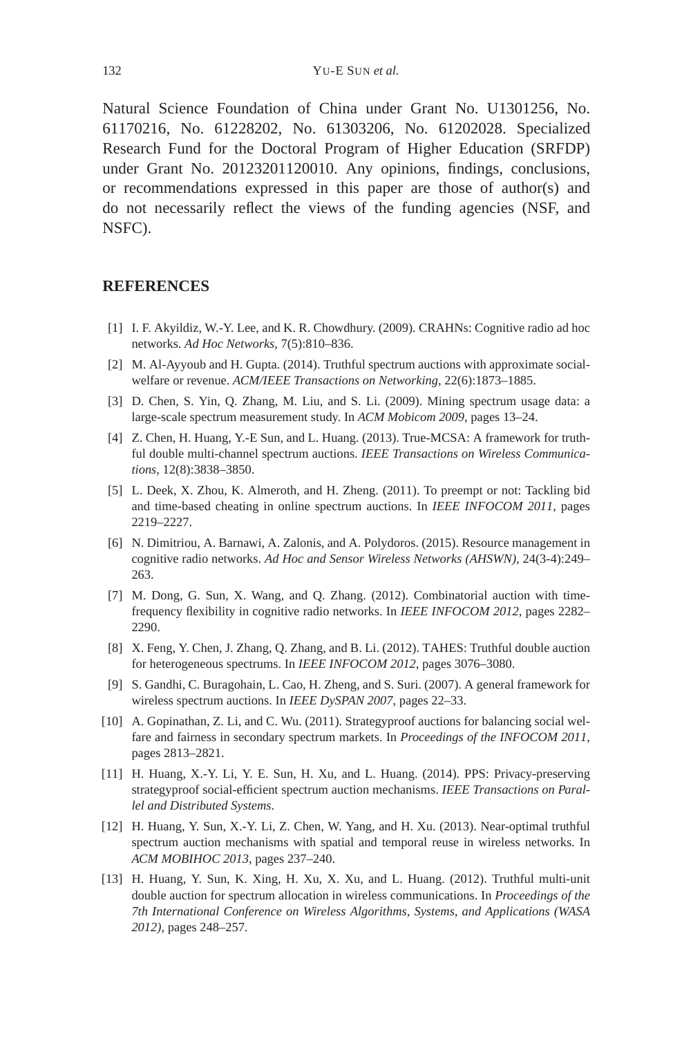Natural Science Foundation of China under Grant No. U1301256, No. 61170216, No. 61228202, No. 61303206, No. 61202028. Specialized Research Fund for the Doctoral Program of Higher Education (SRFDP) under Grant No. 20123201120010. Any opinions, findings, conclusions, or recommendations expressed in this paper are those of author(s) and do not necessarily reflect the views of the funding agencies (NSF, and NSFC).

### **REFERENCES**

- [1] I. F. Akyildiz, W.-Y. Lee, and K. R. Chowdhury. (2009). CRAHNs: Cognitive radio ad hoc networks. *Ad Hoc Networks*, 7(5):810–836.
- [2] M. Al-Ayyoub and H. Gupta. (2014). Truthful spectrum auctions with approximate socialwelfare or revenue. *ACM/IEEE Transactions on Networking*, 22(6):1873–1885.
- [3] D. Chen, S. Yin, Q. Zhang, M. Liu, and S. Li. (2009). Mining spectrum usage data: a large-scale spectrum measurement study. In *ACM Mobicom 2009*, pages 13–24.
- [4] Z. Chen, H. Huang, Y.-E Sun, and L. Huang. (2013). True-MCSA: A framework for truthful double multi-channel spectrum auctions. *IEEE Transactions on Wireless Communications*, 12(8):3838–3850.
- [5] L. Deek, X. Zhou, K. Almeroth, and H. Zheng. (2011). To preempt or not: Tackling bid and time-based cheating in online spectrum auctions. In *IEEE INFOCOM 2011*, pages 2219–2227.
- [6] N. Dimitriou, A. Barnawi, A. Zalonis, and A. Polydoros. (2015). Resource management in cognitive radio networks. *Ad Hoc and Sensor Wireless Networks (AHSWN)*, 24(3-4):249– 263.
- [7] M. Dong, G. Sun, X. Wang, and Q. Zhang. (2012). Combinatorial auction with timefrequency flexibility in cognitive radio networks. In *IEEE INFOCOM 2012*, pages 2282– 2290.
- [8] X. Feng, Y. Chen, J. Zhang, Q. Zhang, and B. Li. (2012). TAHES: Truthful double auction for heterogeneous spectrums. In *IEEE INFOCOM 2012*, pages 3076–3080.
- [9] S. Gandhi, C. Buragohain, L. Cao, H. Zheng, and S. Suri. (2007). A general framework for wireless spectrum auctions. In *IEEE DySPAN 2007*, pages 22–33.
- [10] A. Gopinathan, Z. Li, and C. Wu. (2011). Strategyproof auctions for balancing social welfare and fairness in secondary spectrum markets. In *Proceedings of the INFOCOM 2011*, pages 2813–2821.
- [11] H. Huang, X.-Y. Li, Y. E. Sun, H. Xu, and L. Huang. (2014). PPS: Privacy-preserving strategyproof social-efficient spectrum auction mechanisms. *IEEE Transactions on Parallel and Distributed Systems*.
- [12] H. Huang, Y. Sun, X.-Y. Li, Z. Chen, W. Yang, and H. Xu. (2013). Near-optimal truthful spectrum auction mechanisms with spatial and temporal reuse in wireless networks. In *ACM MOBIHOC 2013*, pages 237–240.
- [13] H. Huang, Y. Sun, K. Xing, H. Xu, X. Xu, and L. Huang. (2012). Truthful multi-unit double auction for spectrum allocation in wireless communications. In *Proceedings of the 7th International Conference on Wireless Algorithms, Systems, and Applications (WASA 2012)*, pages 248–257.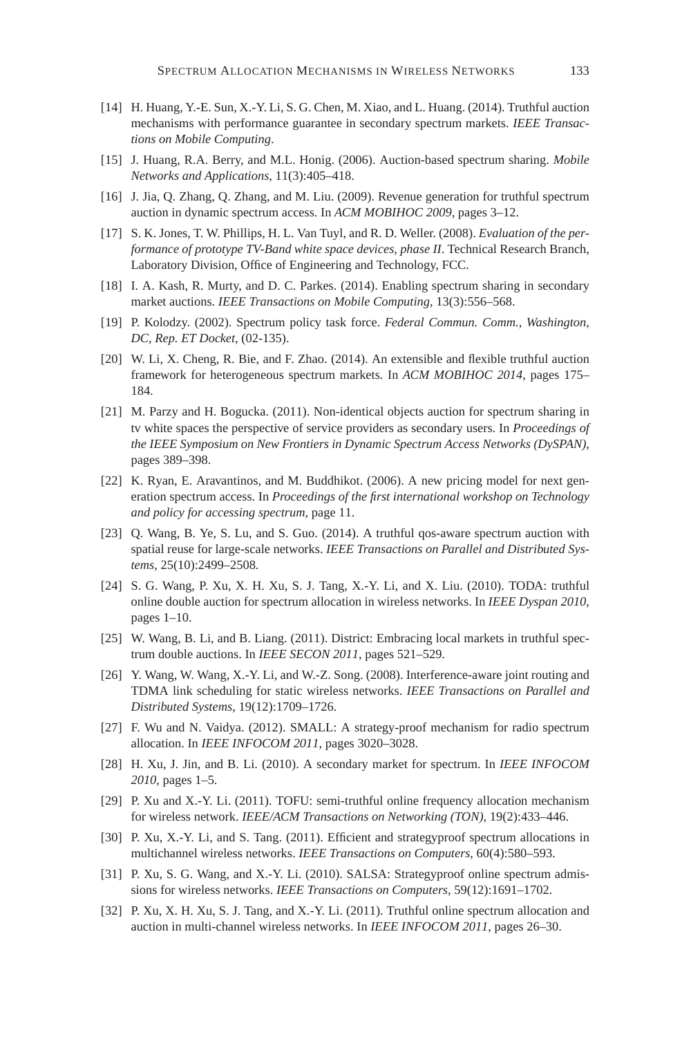- [14] H. Huang, Y.-E. Sun, X.-Y. Li, S. G. Chen, M. Xiao, and L. Huang. (2014). Truthful auction mechanisms with performance guarantee in secondary spectrum markets. *IEEE Transactions on Mobile Computing*.
- [15] J. Huang, R.A. Berry, and M.L. Honig. (2006). Auction-based spectrum sharing. *Mobile Networks and Applications*, 11(3):405–418.
- [16] J. Jia, Q. Zhang, Q. Zhang, and M. Liu. (2009). Revenue generation for truthful spectrum auction in dynamic spectrum access. In *ACM MOBIHOC 2009*, pages 3–12.
- [17] S. K. Jones, T. W. Phillips, H. L. Van Tuyl, and R. D. Weller. (2008). *Evaluation of the performance of prototype TV-Band white space devices, phase II*. Technical Research Branch, Laboratory Division, Office of Engineering and Technology, FCC.
- [18] I. A. Kash, R. Murty, and D. C. Parkes. (2014). Enabling spectrum sharing in secondary market auctions. *IEEE Transactions on Mobile Computing*, 13(3):556–568.
- [19] P. Kolodzy. (2002). Spectrum policy task force. *Federal Commun. Comm., Washington, DC, Rep. ET Docket*, (02-135).
- [20] W. Li, X. Cheng, R. Bie, and F. Zhao. (2014). An extensible and flexible truthful auction framework for heterogeneous spectrum markets. In *ACM MOBIHOC 2014*, pages 175– 184.
- [21] M. Parzy and H. Bogucka. (2011). Non-identical objects auction for spectrum sharing in tv white spaces the perspective of service providers as secondary users. In *Proceedings of the IEEE Symposium on New Frontiers in Dynamic Spectrum Access Networks (DySPAN)*, pages 389–398.
- [22] K. Ryan, E. Aravantinos, and M. Buddhikot. (2006). A new pricing model for next generation spectrum access. In *Proceedings of the first international workshop on Technology and policy for accessing spectrum*, page 11.
- [23] Q. Wang, B. Ye, S. Lu, and S. Guo. (2014). A truthful qos-aware spectrum auction with spatial reuse for large-scale networks. *IEEE Transactions on Parallel and Distributed Systems*, 25(10):2499–2508.
- [24] S. G. Wang, P. Xu, X. H. Xu, S. J. Tang, X.-Y. Li, and X. Liu. (2010). TODA: truthful online double auction for spectrum allocation in wireless networks. In *IEEE Dyspan 2010*, pages 1–10.
- [25] W. Wang, B. Li, and B. Liang. (2011). District: Embracing local markets in truthful spectrum double auctions. In *IEEE SECON 2011*, pages 521–529.
- [26] Y. Wang, W. Wang, X.-Y. Li, and W.-Z. Song. (2008). Interference-aware joint routing and TDMA link scheduling for static wireless networks. *IEEE Transactions on Parallel and Distributed Systems*, 19(12):1709–1726.
- [27] F. Wu and N. Vaidya. (2012). SMALL: A strategy-proof mechanism for radio spectrum allocation. In *IEEE INFOCOM 2011*, pages 3020–3028.
- [28] H. Xu, J. Jin, and B. Li. (2010). A secondary market for spectrum. In *IEEE INFOCOM 2010*, pages 1–5.
- [29] P. Xu and X.-Y. Li. (2011). TOFU: semi-truthful online frequency allocation mechanism for wireless network. *IEEE/ACM Transactions on Networking (TON)*, 19(2):433–446.
- [30] P. Xu, X.-Y. Li, and S. Tang. (2011). Efficient and strategyproof spectrum allocations in multichannel wireless networks. *IEEE Transactions on Computers*, 60(4):580–593.
- [31] P. Xu, S. G. Wang, and X.-Y. Li. (2010). SALSA: Strategyproof online spectrum admissions for wireless networks. *IEEE Transactions on Computers*, 59(12):1691–1702.
- [32] P. Xu, X. H. Xu, S. J. Tang, and X.-Y. Li. (2011). Truthful online spectrum allocation and auction in multi-channel wireless networks. In *IEEE INFOCOM 2011*, pages 26–30.